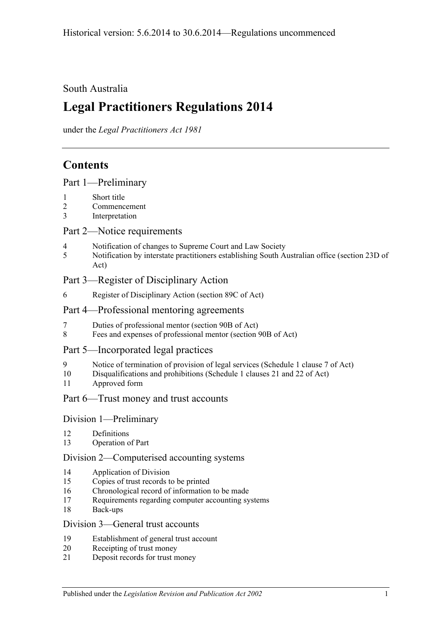## South Australia

# **Legal Practitioners Regulations 2014**

under the *Legal Practitioners Act 1981*

# **Contents**

## Part [1—Preliminary](#page-2-0)

- 1 [Short title](#page-2-1)
- 2 [Commencement](#page-2-2)
- 3 [Interpretation](#page-2-3)

## Part [2—Notice requirements](#page-2-4)

- 4 [Notification of changes to Supreme Court and Law Society](#page-2-5)
- 5 [Notification by interstate practitioners establishing South Australian office \(section](#page-3-0) 23D of [Act\)](#page-3-0)

## Part [3—Register of Disciplinary Action](#page-4-0)

6 [Register of Disciplinary Action \(section](#page-4-1) 89C of Act)

## Part [4—Professional mentoring agreements](#page-4-2)

- 7 [Duties of professional mentor \(section 90B of Act\)](#page-4-3)
- 8 [Fees and expenses of professional mentor \(section](#page-4-4) 90B of Act)

## Part [5—Incorporated legal practices](#page-5-0)

- 9 [Notice of termination of provision of legal services \(Schedule](#page-5-1) 1 clause 7 of Act)
- 10 [Disqualifications and prohibitions \(Schedule](#page-5-2) 1 clauses 21 and 22 of Act)
- 11 [Approved form](#page-6-0)

## Part [6—Trust money and trust accounts](#page-6-1)

## Division [1—Preliminary](#page-6-2)

- 12 [Definitions](#page-6-3)
- 13 [Operation of Part](#page-6-4)

## Division [2—Computerised accounting systems](#page-7-0)

- 14 [Application of Division](#page-7-1)
- 15 [Copies of trust records to be printed](#page-7-2)
- 16 [Chronological record of information to be made](#page-8-0)
- 17 [Requirements regarding computer accounting systems](#page-8-1)
- 18 [Back-ups](#page-8-2)

## Division [3—General trust accounts](#page-9-0)

- 19 [Establishment of general trust account](#page-9-1)
- 20 [Receipting of trust money](#page-9-2)
- 21 [Deposit records](#page-10-0) for trust money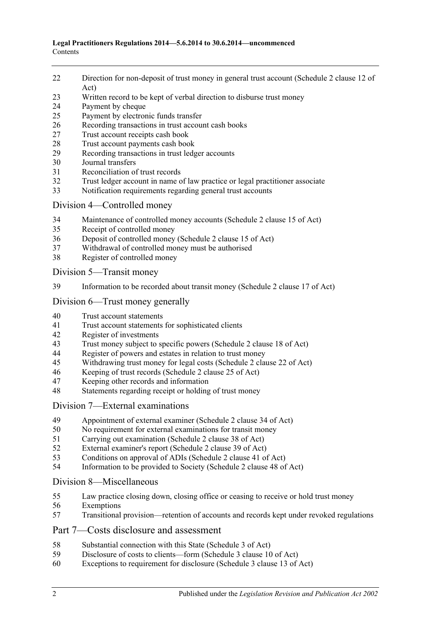- [Direction for non-deposit of trust money in general trust account \(Schedule](#page-11-0) 2 clause 12 of [Act\)](#page-11-0)
- [Written record to be kept of verbal direction to disburse trust money](#page-11-1)
- [Payment by cheque](#page-11-2)
- [Payment by electronic funds transfer](#page-12-0)
- [Recording transactions in trust account cash books](#page-14-0)
- [Trust account receipts cash book](#page-14-1)
- [Trust account payments cash book](#page-14-2)
- [Recording transactions in trust ledger accounts](#page-15-0)
- [Journal transfers](#page-16-0)
- [Reconciliation of trust records](#page-17-0)
- [Trust ledger account in name of law practice or legal practitioner associate](#page-18-0)
- [Notification requirements regarding general trust accounts](#page-18-1)

## Division [4—Controlled money](#page-19-0)

- [Maintenance of controlled money accounts \(Schedule](#page-19-1) 2 clause 15 of Act)
- [Receipt of controlled money](#page-19-2)
- [Deposit of controlled money \(Schedule](#page-20-0) 2 clause 15 of Act)
- [Withdrawal of controlled money must be authorised](#page-20-1)
- [Register of controlled money](#page-21-0)

Division [5—Transit money](#page-22-0)

[Information to be recorded about transit money \(Schedule](#page-22-1) 2 clause 17 of Act)

## Division [6—Trust money generally](#page-23-0)

- [Trust account statements](#page-23-1)
- [Trust account statements for sophisticated clients](#page-23-2)
- [Register of investments](#page-24-0)<br>43 Trust money subject to s
- [Trust money subject to specific powers \(Schedule 2 clause 18 of Act\)](#page-24-1)
- [Register of powers and estates in relation to trust money](#page-25-0)<br>45 Withdrawing trust money for legal costs (Schedule 2 clar
- [Withdrawing trust money for legal costs \(Schedule](#page-25-1) 2 clause 22 of Act)
- [Keeping of trust records \(Schedule](#page-26-0) 2 clause 25 of Act)
- Keeping other [records and information](#page-26-1)
- [Statements regarding receipt or holding of trust money](#page-26-2)

## Division [7—External examinations](#page-27-0)

- [Appointment of external examiner \(Schedule](#page-27-1) 2 clause 34 of Act)
- [No requirement for external examinations for transit money](#page-28-0)
- [Carrying out examination \(Schedule](#page-28-1) 2 clause 38 of Act)
- [External examiner's report \(Schedule](#page-29-0) 2 clause 39 of Act)
- [Conditions on approval of ADIs \(Schedule](#page-30-0) 2 clause 41 of Act)
- [Information to be provided to Society \(Schedule](#page-30-1) 2 clause 48 of Act)

## Division [8—Miscellaneous](#page-30-2)

- [Law practice closing down, closing office or ceasing to receive or hold trust money](#page-30-3)
- [Exemptions](#page-31-0)
- [Transitional provision—retention of accounts and records kept under revoked regulations](#page-31-1)

## Part [7—Costs disclosure and assessment](#page-32-0)

- [Substantial connection with this State \(Schedule](#page-32-1) 3 of Act)
- [Disclosure of costs to clients—form \(Schedule](#page-32-2) 3 clause 10 of Act)
- [Exceptions to requirement for disclosure \(Schedule](#page-32-3) 3 clause 13 of Act)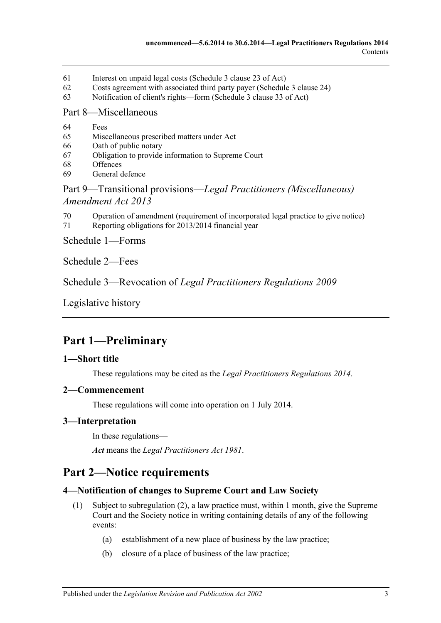- 61 [Interest on unpaid legal costs \(Schedule](#page-32-4) 3 clause 23 of Act)
- 62 [Costs agreement with associated third party payer \(Schedule](#page-33-0) 3 clause 24)
- 63 [Notification of client's rights—form \(Schedule](#page-33-1) 3 clause 33 of Act)

#### Part [8—Miscellaneous](#page-33-2)

- 64 [Fees](#page-33-3)
- 65 [Miscellaneous prescribed matters under Act](#page-33-4)
- 66 [Oath of public notary](#page-33-5)
- 67 [Obligation to provide information to Supreme Court](#page-34-0)
- 68 [Offences](#page-34-1)
- 69 [General defence](#page-34-2)

## Part 9—Transitional provisions—*[Legal Practitioners \(Miscellaneous\)](#page-35-0)  [Amendment Act](#page-35-0) 2013*

- 70 [Operation of amendment \(requirement of incorporated legal practice to give notice\)](#page-35-1)
- 71 [Reporting obligations for 2013/2014 financial year](#page-35-2)

Schedule [1—Forms](#page-35-3)

[Schedule](#page-36-0) 2—Fees

Schedule 3—Revocation of *[Legal Practitioners Regulations](#page-36-1) 2009*

[Legislative history](#page-37-0)

# <span id="page-2-0"></span>**Part 1—Preliminary**

## <span id="page-2-1"></span>**1—Short title**

These regulations may be cited as the *Legal Practitioners Regulations 2014*.

#### <span id="page-2-2"></span>**2—Commencement**

These regulations will come into operation on 1 July 2014.

#### <span id="page-2-3"></span>**3—Interpretation**

In these regulations—

*Act* means the *[Legal Practitioners Act](http://www.legislation.sa.gov.au/index.aspx?action=legref&type=act&legtitle=Legal%20Practitioners%20Act%201981) 1981*.

## <span id="page-2-4"></span>**Part 2—Notice requirements**

## <span id="page-2-8"></span><span id="page-2-5"></span>**4—Notification of changes to Supreme Court and Law Society**

- <span id="page-2-7"></span><span id="page-2-6"></span>(1) Subject to [subregulation](#page-3-1) (2), a law practice must, within 1 month, give the Supreme Court and the Society notice in writing containing details of any of the following events:
	- (a) establishment of a new place of business by the law practice;
	- (b) closure of a place of business of the law practice;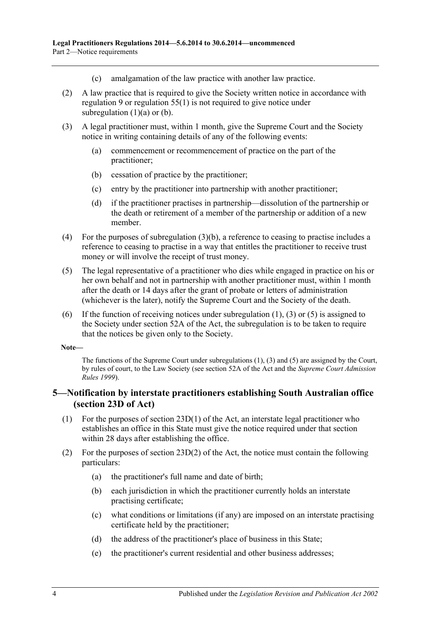- (c) amalgamation of the law practice with another law practice.
- <span id="page-3-1"></span>(2) A law practice that is required to give the Society written notice in accordance with [regulation](#page-5-1) 9 or [regulation](#page-30-4) 55(1) is not required to give notice under [subregulation](#page-2-6)  $(1)(a)$  or  $(b)$ .
- <span id="page-3-3"></span><span id="page-3-2"></span>(3) A legal practitioner must, within 1 month, give the Supreme Court and the Society notice in writing containing details of any of the following events:
	- (a) commencement or recommencement of practice on the part of the practitioner;
	- (b) cessation of practice by the practitioner;
	- (c) entry by the practitioner into partnership with another practitioner;
	- (d) if the practitioner practises in partnership—dissolution of the partnership or the death or retirement of a member of the partnership or addition of a new member.
- (4) For the purposes of [subregulation](#page-3-2) (3)(b), a reference to ceasing to practise includes a reference to ceasing to practise in a way that entitles the practitioner to receive trust money or will involve the receipt of trust money.
- <span id="page-3-4"></span>(5) The legal representative of a practitioner who dies while engaged in practice on his or her own behalf and not in partnership with another practitioner must, within 1 month after the death or 14 days after the grant of probate or letters of administration (whichever is the later), notify the Supreme Court and the Society of the death.
- (6) If the function of receiving notices under [subregulation](#page-2-8)  $(1)$ ,  $(3)$  or  $(5)$  is assigned to the Society under section 52A of the Act, the subregulation is to be taken to require that the notices be given only to the Society.

#### **Note—**

The functions of the Supreme Court unde[r subregulations](#page-2-8) (1), [\(3\)](#page-3-3) and [\(5\)](#page-3-4) are assigned by the Court, by rules of court, to the Law Society (see section 52A of the Act and the *Supreme Court Admission Rules 1999*).

## <span id="page-3-0"></span>**5—Notification by interstate practitioners establishing South Australian office (section 23D of Act)**

- (1) For the purposes of section  $23D(1)$  of the Act, an interstate legal practitioner who establishes an office in this State must give the notice required under that section within 28 days after establishing the office.
- (2) For the purposes of section 23D(2) of the Act, the notice must contain the following particulars:
	- (a) the practitioner's full name and date of birth;
	- (b) each jurisdiction in which the practitioner currently holds an interstate practising certificate;
	- (c) what conditions or limitations (if any) are imposed on an interstate practising certificate held by the practitioner;
	- (d) the address of the practitioner's place of business in this State;
	- (e) the practitioner's current residential and other business addresses;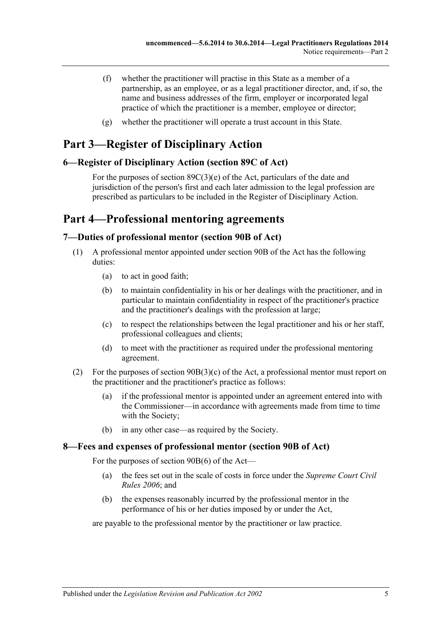- (f) whether the practitioner will practise in this State as a member of a partnership, as an employee, or as a legal practitioner director, and, if so, the name and business addresses of the firm, employer or incorporated legal practice of which the practitioner is a member, employee or director;
- (g) whether the practitioner will operate a trust account in this State.

# <span id="page-4-0"></span>**Part 3—Register of Disciplinary Action**

## <span id="page-4-1"></span>**6—Register of Disciplinary Action (section 89C of Act)**

For the purposes of section 89C(3)(e) of the Act, particulars of the date and jurisdiction of the person's first and each later admission to the legal profession are prescribed as particulars to be included in the Register of Disciplinary Action.

## <span id="page-4-2"></span>**Part 4—Professional mentoring agreements**

## <span id="page-4-3"></span>**7—Duties of professional mentor (section 90B of Act)**

- (1) A professional mentor appointed under section 90B of the Act has the following duties:
	- (a) to act in good faith;
	- (b) to maintain confidentiality in his or her dealings with the practitioner, and in particular to maintain confidentiality in respect of the practitioner's practice and the practitioner's dealings with the profession at large;
	- (c) to respect the relationships between the legal practitioner and his or her staff, professional colleagues and clients;
	- (d) to meet with the practitioner as required under the professional mentoring agreement.
- (2) For the purposes of section 90B(3)(c) of the Act, a professional mentor must report on the practitioner and the practitioner's practice as follows:
	- (a) if the professional mentor is appointed under an agreement entered into with the Commissioner—in accordance with agreements made from time to time with the Society;
	- (b) in any other case—as required by the Society.

## <span id="page-4-4"></span>**8—Fees and expenses of professional mentor (section 90B of Act)**

For the purposes of section 90B(6) of the Act—

- (a) the fees set out in the scale of costs in force under the *Supreme Court Civil Rules 2006*; and
- (b) the expenses reasonably incurred by the professional mentor in the performance of his or her duties imposed by or under the Act,

are payable to the professional mentor by the practitioner or law practice.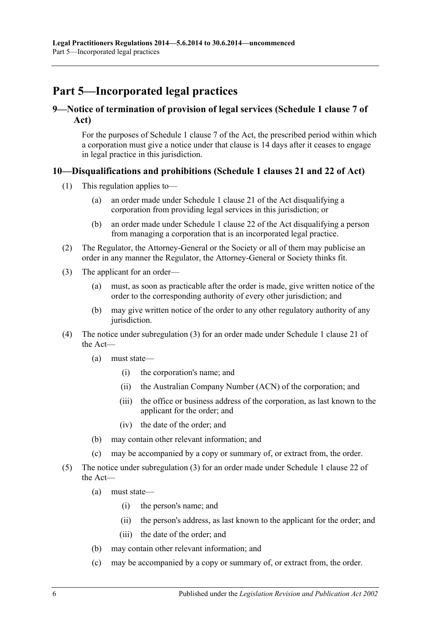# <span id="page-5-0"></span>**Part 5—Incorporated legal practices**

## <span id="page-5-1"></span>**9—Notice of termination of provision of legal services (Schedule 1 clause 7 of Act)**

For the purposes of Schedule 1 clause 7 of the Act, the prescribed period within which a corporation must give a notice under that clause is 14 days after it ceases to engage in legal practice in this jurisdiction.

## <span id="page-5-2"></span>**10—Disqualifications and prohibitions (Schedule 1 clauses 21 and 22 of Act)**

- (1) This regulation applies to—
	- (a) an order made under Schedule 1 clause 21 of the Act disqualifying a corporation from providing legal services in this jurisdiction; or
	- (b) an order made under Schedule 1 clause 22 of the Act disqualifying a person from managing a corporation that is an incorporated legal practice.
- (2) The Regulator, the Attorney-General or the Society or all of them may publicise an order in any manner the Regulator, the Attorney-General or Society thinks fit.
- <span id="page-5-3"></span>(3) The applicant for an order—
	- (a) must, as soon as practicable after the order is made, give written notice of the order to the corresponding authority of every other jurisdiction; and
	- (b) may give written notice of the order to any other regulatory authority of any jurisdiction.
- (4) The notice under [subregulation](#page-5-3) (3) for an order made under Schedule 1 clause 21 of the Act—
	- (a) must state—
		- (i) the corporation's name; and
		- (ii) the Australian Company Number (ACN) of the corporation; and
		- (iii) the office or business address of the corporation, as last known to the applicant for the order; and
		- (iv) the date of the order; and
	- (b) may contain other relevant information; and
	- (c) may be accompanied by a copy or summary of, or extract from, the order.
- (5) The notice under [subregulation](#page-5-3) (3) for an order made under Schedule 1 clause 22 of the Act—
	- (a) must state—
		- (i) the person's name; and
		- (ii) the person's address, as last known to the applicant for the order; and
		- (iii) the date of the order; and
	- (b) may contain other relevant information; and
	- (c) may be accompanied by a copy or summary of, or extract from, the order.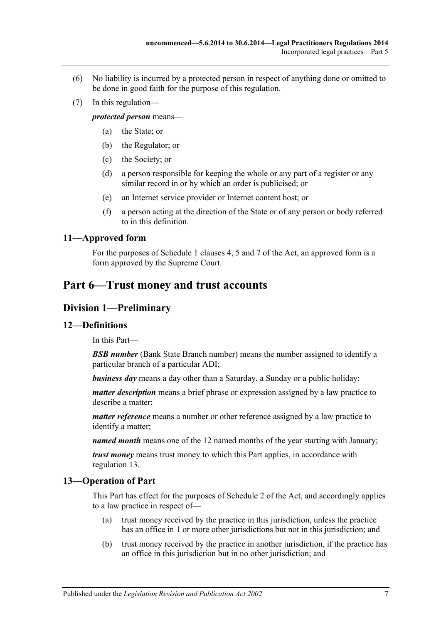- (6) No liability is incurred by a protected person in respect of anything done or omitted to be done in good faith for the purpose of this regulation.
- (7) In this regulation—

*protected person* means—

- (a) the State; or
- (b) the Regulator; or
- (c) the Society; or
- (d) a person responsible for keeping the whole or any part of a register or any similar record in or by which an order is publicised; or
- (e) an Internet service provider or Internet content host; or
- (f) a person acting at the direction of the State or of any person or body referred to in this definition.

## <span id="page-6-0"></span>**11—Approved form**

For the purposes of Schedule 1 clauses 4, 5 and 7 of the Act, an approved form is a form approved by the Supreme Court.

## <span id="page-6-1"></span>**Part 6—Trust money and trust accounts**

## <span id="page-6-2"></span>**Division 1—Preliminary**

## <span id="page-6-3"></span>**12—Definitions**

In this Part—

**BSB number** (Bank State Branch number) means the number assigned to identify a particular branch of a particular ADI;

*business day* means a day other than a Saturday, a Sunday or a public holiday;

*matter description* means a brief phrase or expression assigned by a law practice to describe a matter;

*matter reference* means a number or other reference assigned by a law practice to identify a matter;

*named month* means one of the 12 named months of the year starting with January;

*trust money* means trust money to which this Part applies, in accordance with [regulation](#page-6-4) 13.

## <span id="page-6-4"></span>**13—Operation of Part**

This Part has effect for the purposes of Schedule 2 of the Act, and accordingly applies to a law practice in respect of—

- (a) trust money received by the practice in this jurisdiction, unless the practice has an office in 1 or more other jurisdictions but not in this jurisdiction; and
- (b) trust money received by the practice in another jurisdiction, if the practice has an office in this jurisdiction but in no other jurisdiction; and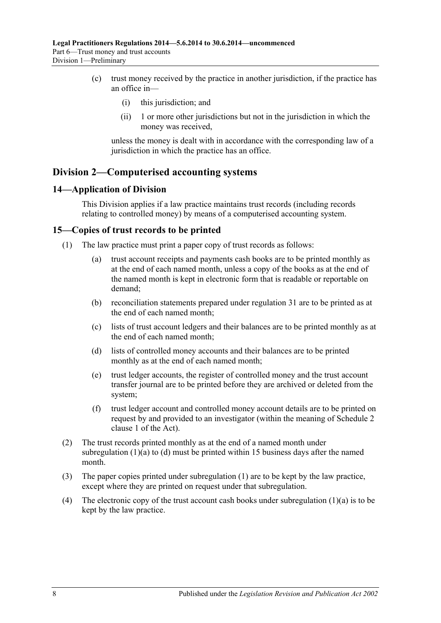- (c) trust money received by the practice in another jurisdiction, if the practice has an office in—
	- (i) this jurisdiction; and
	- (ii) 1 or more other jurisdictions but not in the jurisdiction in which the money was received,

unless the money is dealt with in accordance with the corresponding law of a jurisdiction in which the practice has an office.

## <span id="page-7-0"></span>**Division 2—Computerised accounting systems**

#### <span id="page-7-1"></span>**14—Application of Division**

This Division applies if a law practice maintains trust records (including records relating to controlled money) by means of a computerised accounting system.

#### <span id="page-7-5"></span><span id="page-7-2"></span>**15—Copies of trust records to be printed**

- <span id="page-7-3"></span>(1) The law practice must print a paper copy of trust records as follows:
	- (a) trust account receipts and payments cash books are to be printed monthly as at the end of each named month, unless a copy of the books as at the end of the named month is kept in electronic form that is readable or reportable on demand;
	- (b) reconciliation statements prepared under [regulation](#page-17-0) 31 are to be printed as at the end of each named month;
	- (c) lists of trust account ledgers and their balances are to be printed monthly as at the end of each named month;
	- (d) lists of controlled money accounts and their balances are to be printed monthly as at the end of each named month;
	- (e) trust ledger accounts, the register of controlled money and the trust account transfer journal are to be printed before they are archived or deleted from the system;
	- (f) trust ledger account and controlled money account details are to be printed on request by and provided to an investigator (within the meaning of Schedule 2 clause 1 of the Act).
- <span id="page-7-4"></span>(2) The trust records printed monthly as at the end of a named month under [subregulation](#page-7-3)  $(1)(a)$  to  $(d)$  must be printed within 15 business days after the named month.
- (3) The paper copies printed under [subregulation](#page-7-5) (1) are to be kept by the law practice, except where they are printed on request under that subregulation.
- (4) The electronic copy of the trust account cash books under [subregulation](#page-7-3)  $(1)(a)$  is to be kept by the law practice.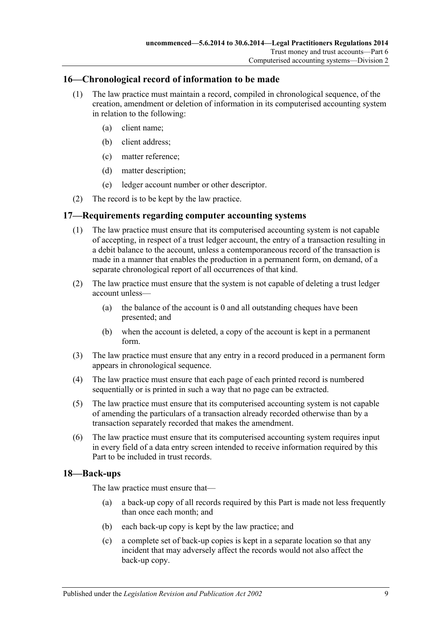## <span id="page-8-0"></span>**16—Chronological record of information to be made**

- (1) The law practice must maintain a record, compiled in chronological sequence, of the creation, amendment or deletion of information in its computerised accounting system in relation to the following:
	- (a) client name;
	- (b) client address;
	- (c) matter reference;
	- (d) matter description;
	- (e) ledger account number or other descriptor.
- (2) The record is to be kept by the law practice.

## <span id="page-8-1"></span>**17—Requirements regarding computer accounting systems**

- (1) The law practice must ensure that its computerised accounting system is not capable of accepting, in respect of a trust ledger account, the entry of a transaction resulting in a debit balance to the account, unless a contemporaneous record of the transaction is made in a manner that enables the production in a permanent form, on demand, of a separate chronological report of all occurrences of that kind.
- (2) The law practice must ensure that the system is not capable of deleting a trust ledger account unless—
	- (a) the balance of the account is  $\theta$  and all outstanding cheques have been presented; and
	- (b) when the account is deleted, a copy of the account is kept in a permanent form.
- (3) The law practice must ensure that any entry in a record produced in a permanent form appears in chronological sequence.
- (4) The law practice must ensure that each page of each printed record is numbered sequentially or is printed in such a way that no page can be extracted.
- (5) The law practice must ensure that its computerised accounting system is not capable of amending the particulars of a transaction already recorded otherwise than by a transaction separately recorded that makes the amendment.
- (6) The law practice must ensure that its computerised accounting system requires input in every field of a data entry screen intended to receive information required by this Part to be included in trust records.

## <span id="page-8-2"></span>**18—Back-ups**

The law practice must ensure that—

- (a) a back-up copy of all records required by this Part is made not less frequently than once each month; and
- (b) each back-up copy is kept by the law practice; and
- (c) a complete set of back-up copies is kept in a separate location so that any incident that may adversely affect the records would not also affect the back-up copy.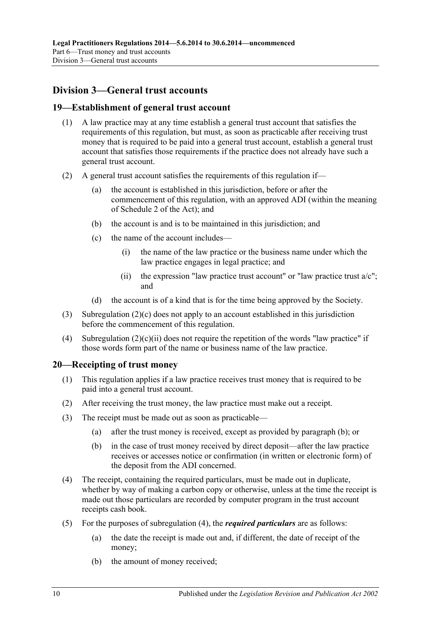## <span id="page-9-0"></span>**Division 3—General trust accounts**

#### <span id="page-9-1"></span>**19—Establishment of general trust account**

- (1) A law practice may at any time establish a general trust account that satisfies the requirements of this regulation, but must, as soon as practicable after receiving trust money that is required to be paid into a general trust account, establish a general trust account that satisfies those requirements if the practice does not already have such a general trust account.
- <span id="page-9-3"></span>(2) A general trust account satisfies the requirements of this regulation if—
	- (a) the account is established in this jurisdiction, before or after the commencement of this regulation, with an approved ADI (within the meaning of Schedule 2 of the Act); and
	- (b) the account is and is to be maintained in this jurisdiction; and
	- (c) the name of the account includes—
		- (i) the name of the law practice or the business name under which the law practice engages in legal practice; and
		- (ii) the expression "law practice trust account" or "law practice trust  $a/c$ "; and
	- (d) the account is of a kind that is for the time being approved by the Society.
- <span id="page-9-4"></span>(3) [Subregulation](#page-9-3) (2)(c) does not apply to an account established in this jurisdiction before the commencement of this regulation.
- (4) [Subregulation](#page-9-4)  $(2)(c)(ii)$  does not require the repetition of the words "law practice" if those words form part of the name or business name of the law practice.

#### <span id="page-9-2"></span>**20—Receipting of trust money**

- (1) This regulation applies if a law practice receives trust money that is required to be paid into a general trust account.
- (2) After receiving the trust money, the law practice must make out a receipt.
- <span id="page-9-5"></span>(3) The receipt must be made out as soon as practicable—
	- (a) after the trust money is received, except as provided by [paragraph](#page-9-5) (b); or
	- (b) in the case of trust money received by direct deposit—after the law practice receives or accesses notice or confirmation (in written or electronic form) of the deposit from the ADI concerned.
- <span id="page-9-6"></span>(4) The receipt, containing the required particulars, must be made out in duplicate, whether by way of making a carbon copy or otherwise, unless at the time the receipt is made out those particulars are recorded by computer program in the trust account receipts cash book.
- (5) For the purposes of [subregulation](#page-9-6) (4), the *required particulars* are as follows:
	- (a) the date the receipt is made out and, if different, the date of receipt of the money;
	- (b) the amount of money received;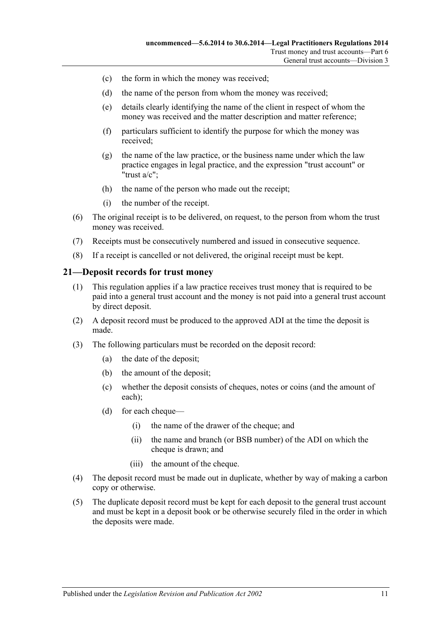- (c) the form in which the money was received;
- (d) the name of the person from whom the money was received;
- (e) details clearly identifying the name of the client in respect of whom the money was received and the matter description and matter reference;
- (f) particulars sufficient to identify the purpose for which the money was received;
- (g) the name of the law practice, or the business name under which the law practice engages in legal practice, and the expression "trust account" or "trust a/c";
- (h) the name of the person who made out the receipt;
- (i) the number of the receipt.
- (6) The original receipt is to be delivered, on request, to the person from whom the trust money was received.
- (7) Receipts must be consecutively numbered and issued in consecutive sequence.
- (8) If a receipt is cancelled or not delivered, the original receipt must be kept.

#### <span id="page-10-0"></span>**21—Deposit records for trust money**

- (1) This regulation applies if a law practice receives trust money that is required to be paid into a general trust account and the money is not paid into a general trust account by direct deposit.
- (2) A deposit record must be produced to the approved ADI at the time the deposit is made.
- (3) The following particulars must be recorded on the deposit record:
	- (a) the date of the deposit;
	- (b) the amount of the deposit;
	- (c) whether the deposit consists of cheques, notes or coins (and the amount of each);
	- (d) for each cheque—
		- (i) the name of the drawer of the cheque; and
		- (ii) the name and branch (or BSB number) of the ADI on which the cheque is drawn; and
		- (iii) the amount of the cheque.
- (4) The deposit record must be made out in duplicate, whether by way of making a carbon copy or otherwise.
- (5) The duplicate deposit record must be kept for each deposit to the general trust account and must be kept in a deposit book or be otherwise securely filed in the order in which the deposits were made.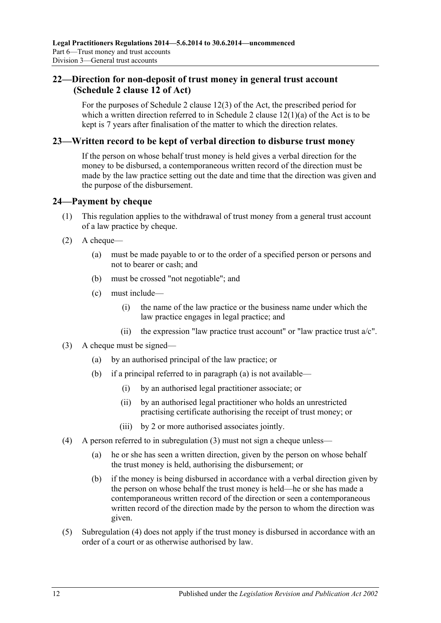## <span id="page-11-0"></span>**22—Direction for non-deposit of trust money in general trust account (Schedule 2 clause 12 of Act)**

For the purposes of Schedule 2 clause 12(3) of the Act, the prescribed period for which a written direction referred to in Schedule 2 clause  $12(1)(a)$  of the Act is to be kept is 7 years after finalisation of the matter to which the direction relates.

#### <span id="page-11-1"></span>**23—Written record to be kept of verbal direction to disburse trust money**

If the person on whose behalf trust money is held gives a verbal direction for the money to be disbursed, a contemporaneous written record of the direction must be made by the law practice setting out the date and time that the direction was given and the purpose of the disbursement.

## <span id="page-11-2"></span>**24—Payment by cheque**

- (1) This regulation applies to the withdrawal of trust money from a general trust account of a law practice by cheque.
- <span id="page-11-6"></span> $(2)$  A cheque—
	- (a) must be made payable to or to the order of a specified person or persons and not to bearer or cash; and
	- (b) must be crossed "not negotiable"; and
	- (c) must include—
		- (i) the name of the law practice or the business name under which the law practice engages in legal practice; and
		- (ii) the expression "law practice trust account" or "law practice trust  $a/c$ ".
- <span id="page-11-7"></span><span id="page-11-4"></span><span id="page-11-3"></span>(3) A cheque must be signed—
	- (a) by an authorised principal of the law practice; or
	- (b) if a principal referred to in [paragraph](#page-11-3) (a) is not available—
		- (i) by an authorised legal practitioner associate; or
		- (ii) by an authorised legal practitioner who holds an unrestricted practising certificate authorising the receipt of trust money; or
		- (iii) by 2 or more authorised associates jointly.
- <span id="page-11-5"></span>(4) A person referred to in [subregulation](#page-11-4) (3) must not sign a cheque unless—
	- (a) he or she has seen a written direction, given by the person on whose behalf the trust money is held, authorising the disbursement; or
	- (b) if the money is being disbursed in accordance with a verbal direction given by the person on whose behalf the trust money is held—he or she has made a contemporaneous written record of the direction or seen a contemporaneous written record of the direction made by the person to whom the direction was given.
- (5) [Subregulation](#page-11-5) (4) does not apply if the trust money is disbursed in accordance with an order of a court or as otherwise authorised by law.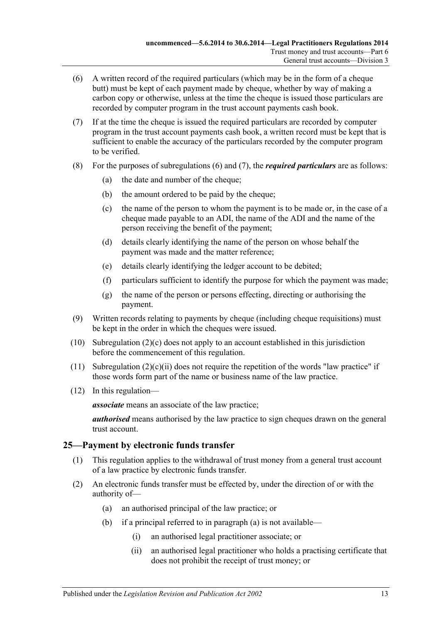- <span id="page-12-1"></span>(6) A written record of the required particulars (which may be in the form of a cheque butt) must be kept of each payment made by cheque, whether by way of making a carbon copy or otherwise, unless at the time the cheque is issued those particulars are recorded by computer program in the trust account payments cash book.
- <span id="page-12-2"></span>(7) If at the time the cheque is issued the required particulars are recorded by computer program in the trust account payments cash book, a written record must be kept that is sufficient to enable the accuracy of the particulars recorded by the computer program to be verified.
- (8) For the purposes of [subregulations](#page-12-1) (6) and [\(7\),](#page-12-2) the *required particulars* are as follows:
	- (a) the date and number of the cheque;
	- (b) the amount ordered to be paid by the cheque;
	- (c) the name of the person to whom the payment is to be made or, in the case of a cheque made payable to an ADI, the name of the ADI and the name of the person receiving the benefit of the payment;
	- (d) details clearly identifying the name of the person on whose behalf the payment was made and the matter reference;
	- (e) details clearly identifying the ledger account to be debited;
	- (f) particulars sufficient to identify the purpose for which the payment was made;
	- (g) the name of the person or persons effecting, directing or authorising the payment.
- (9) Written records relating to payments by cheque (including cheque requisitions) must be kept in the order in which the cheques were issued.
- (10) [Subregulation](#page-11-6)  $(2)(c)$  does not apply to an account established in this jurisdiction before the commencement of this regulation.
- (11) [Subregulation](#page-11-7)  $(2)(c)(ii)$  does not require the repetition of the words "law practice" if those words form part of the name or business name of the law practice.
- (12) In this regulation—

*associate* means an associate of the law practice;

*authorised* means authorised by the law practice to sign cheques drawn on the general trust account.

## <span id="page-12-0"></span>**25—Payment by electronic funds transfer**

- (1) This regulation applies to the withdrawal of trust money from a general trust account of a law practice by electronic funds transfer.
- <span id="page-12-3"></span>(2) An electronic funds transfer must be effected by, under the direction of or with the authority of—
	- (a) an authorised principal of the law practice; or
	- (b) if a principal referred to in [paragraph](#page-12-3) (a) is not available—
		- (i) an authorised legal practitioner associate; or
		- (ii) an authorised legal practitioner who holds a practising certificate that does not prohibit the receipt of trust money; or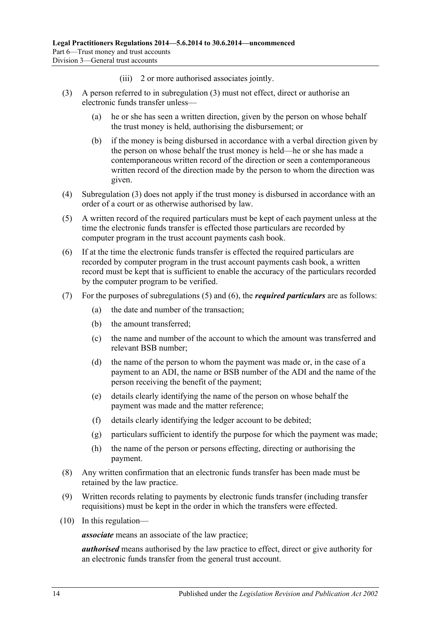- (iii) 2 or more authorised associates jointly.
- <span id="page-13-0"></span>(3) A person referred to in [subregulation](#page-11-4) (3) must not effect, direct or authorise an electronic funds transfer unless—
	- (a) he or she has seen a written direction, given by the person on whose behalf the trust money is held, authorising the disbursement; or
	- (b) if the money is being disbursed in accordance with a verbal direction given by the person on whose behalf the trust money is held—he or she has made a contemporaneous written record of the direction or seen a contemporaneous written record of the direction made by the person to whom the direction was given.
- (4) [Subregulation](#page-13-0) (3) does not apply if the trust money is disbursed in accordance with an order of a court or as otherwise authorised by law.
- <span id="page-13-1"></span>(5) A written record of the required particulars must be kept of each payment unless at the time the electronic funds transfer is effected those particulars are recorded by computer program in the trust account payments cash book.
- <span id="page-13-2"></span>(6) If at the time the electronic funds transfer is effected the required particulars are recorded by computer program in the trust account payments cash book, a written record must be kept that is sufficient to enable the accuracy of the particulars recorded by the computer program to be verified.
- (7) For the purposes of [subregulations](#page-13-1) (5) and [\(6\),](#page-13-2) the *required particulars* are as follows:
	- (a) the date and number of the transaction;
	- (b) the amount transferred;
	- (c) the name and number of the account to which the amount was transferred and relevant BSB number;
	- (d) the name of the person to whom the payment was made or, in the case of a payment to an ADI, the name or BSB number of the ADI and the name of the person receiving the benefit of the payment;
	- (e) details clearly identifying the name of the person on whose behalf the payment was made and the matter reference;
	- (f) details clearly identifying the ledger account to be debited;
	- (g) particulars sufficient to identify the purpose for which the payment was made;
	- (h) the name of the person or persons effecting, directing or authorising the payment.
- (8) Any written confirmation that an electronic funds transfer has been made must be retained by the law practice.
- (9) Written records relating to payments by electronic funds transfer (including transfer requisitions) must be kept in the order in which the transfers were effected.
- (10) In this regulation—

*associate* means an associate of the law practice;

*authorised* means authorised by the law practice to effect, direct or give authority for an electronic funds transfer from the general trust account.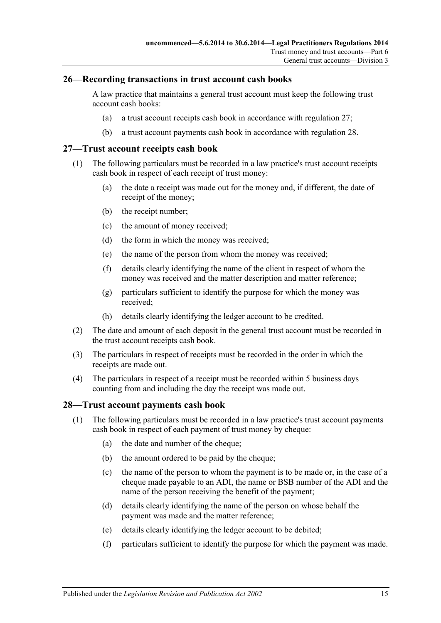#### <span id="page-14-0"></span>**26—Recording transactions in trust account cash books**

A law practice that maintains a general trust account must keep the following trust account cash books:

- (a) a trust account receipts cash book in accordance with [regulation](#page-14-1) 27;
- (b) a trust account payments cash book in accordance with [regulation](#page-14-2) 28.

#### <span id="page-14-1"></span>**27—Trust account receipts cash book**

- (1) The following particulars must be recorded in a law practice's trust account receipts cash book in respect of each receipt of trust money:
	- (a) the date a receipt was made out for the money and, if different, the date of receipt of the money;
	- (b) the receipt number;
	- (c) the amount of money received;
	- (d) the form in which the money was received;
	- (e) the name of the person from whom the money was received;
	- (f) details clearly identifying the name of the client in respect of whom the money was received and the matter description and matter reference;
	- (g) particulars sufficient to identify the purpose for which the money was received;
	- (h) details clearly identifying the ledger account to be credited.
- (2) The date and amount of each deposit in the general trust account must be recorded in the trust account receipts cash book.
- (3) The particulars in respect of receipts must be recorded in the order in which the receipts are made out.
- (4) The particulars in respect of a receipt must be recorded within 5 business days counting from and including the day the receipt was made out.

#### <span id="page-14-2"></span>**28—Trust account payments cash book**

- (1) The following particulars must be recorded in a law practice's trust account payments cash book in respect of each payment of trust money by cheque:
	- (a) the date and number of the cheque;
	- (b) the amount ordered to be paid by the cheque:
	- (c) the name of the person to whom the payment is to be made or, in the case of a cheque made payable to an ADI, the name or BSB number of the ADI and the name of the person receiving the benefit of the payment;
	- (d) details clearly identifying the name of the person on whose behalf the payment was made and the matter reference;
	- (e) details clearly identifying the ledger account to be debited;
	- (f) particulars sufficient to identify the purpose for which the payment was made.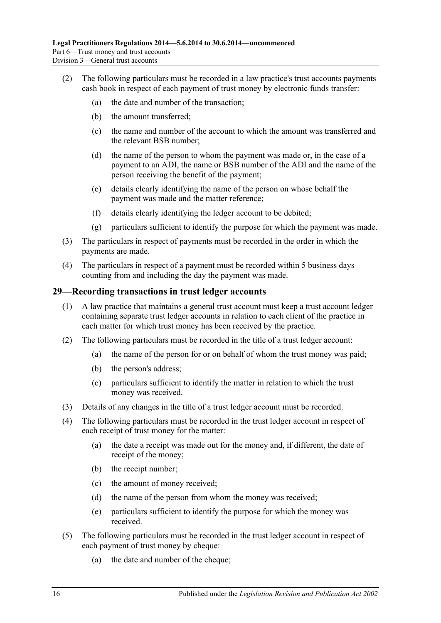- (2) The following particulars must be recorded in a law practice's trust accounts payments cash book in respect of each payment of trust money by electronic funds transfer:
	- (a) the date and number of the transaction;
	- (b) the amount transferred;
	- (c) the name and number of the account to which the amount was transferred and the relevant BSB number;
	- (d) the name of the person to whom the payment was made or, in the case of a payment to an ADI, the name or BSB number of the ADI and the name of the person receiving the benefit of the payment;
	- (e) details clearly identifying the name of the person on whose behalf the payment was made and the matter reference;
	- (f) details clearly identifying the ledger account to be debited;
	- (g) particulars sufficient to identify the purpose for which the payment was made.
- (3) The particulars in respect of payments must be recorded in the order in which the payments are made.
- (4) The particulars in respect of a payment must be recorded within 5 business days counting from and including the day the payment was made.

#### <span id="page-15-0"></span>**29—Recording transactions in trust ledger accounts**

- (1) A law practice that maintains a general trust account must keep a trust account ledger containing separate trust ledger accounts in relation to each client of the practice in each matter for which trust money has been received by the practice.
- (2) The following particulars must be recorded in the title of a trust ledger account:
	- (a) the name of the person for or on behalf of whom the trust money was paid;
	- (b) the person's address;
	- (c) particulars sufficient to identify the matter in relation to which the trust money was received.
- (3) Details of any changes in the title of a trust ledger account must be recorded.
- (4) The following particulars must be recorded in the trust ledger account in respect of each receipt of trust money for the matter:
	- (a) the date a receipt was made out for the money and, if different, the date of receipt of the money;
	- (b) the receipt number;
	- (c) the amount of money received;
	- (d) the name of the person from whom the money was received;
	- (e) particulars sufficient to identify the purpose for which the money was received.
- (5) The following particulars must be recorded in the trust ledger account in respect of each payment of trust money by cheque:
	- (a) the date and number of the cheque;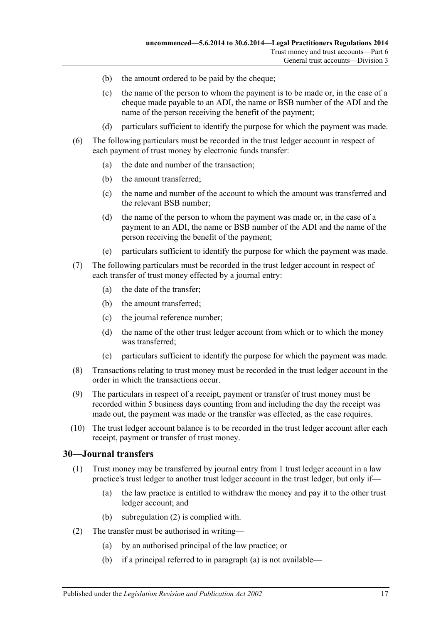- (b) the amount ordered to be paid by the cheque;
- (c) the name of the person to whom the payment is to be made or, in the case of a cheque made payable to an ADI, the name or BSB number of the ADI and the name of the person receiving the benefit of the payment;
- (d) particulars sufficient to identify the purpose for which the payment was made.
- (6) The following particulars must be recorded in the trust ledger account in respect of each payment of trust money by electronic funds transfer:
	- (a) the date and number of the transaction;
	- (b) the amount transferred;
	- (c) the name and number of the account to which the amount was transferred and the relevant BSB number;
	- (d) the name of the person to whom the payment was made or, in the case of a payment to an ADI, the name or BSB number of the ADI and the name of the person receiving the benefit of the payment;
	- (e) particulars sufficient to identify the purpose for which the payment was made.
- (7) The following particulars must be recorded in the trust ledger account in respect of each transfer of trust money effected by a journal entry:
	- (a) the date of the transfer;
	- (b) the amount transferred;
	- (c) the journal reference number;
	- (d) the name of the other trust ledger account from which or to which the money was transferred;
	- (e) particulars sufficient to identify the purpose for which the payment was made.
- (8) Transactions relating to trust money must be recorded in the trust ledger account in the order in which the transactions occur.
- (9) The particulars in respect of a receipt, payment or transfer of trust money must be recorded within 5 business days counting from and including the day the receipt was made out, the payment was made or the transfer was effected, as the case requires.
- (10) The trust ledger account balance is to be recorded in the trust ledger account after each receipt, payment or transfer of trust money.

#### <span id="page-16-0"></span>**30—Journal transfers**

- (1) Trust money may be transferred by journal entry from 1 trust ledger account in a law practice's trust ledger to another trust ledger account in the trust ledger, but only if—
	- (a) the law practice is entitled to withdraw the money and pay it to the other trust ledger account; and
	- (b) [subregulation](#page-16-1) (2) is complied with.
- <span id="page-16-2"></span><span id="page-16-1"></span>(2) The transfer must be authorised in writing—
	- (a) by an authorised principal of the law practice; or
	- (b) if a principal referred to in [paragraph](#page-16-2) (a) is not available—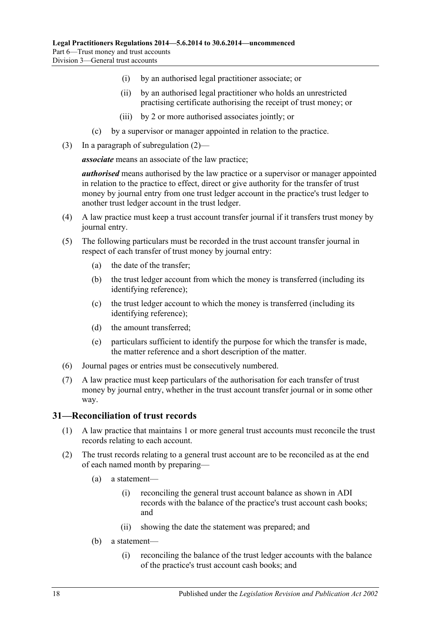- (i) by an authorised legal practitioner associate; or
- (ii) by an authorised legal practitioner who holds an unrestricted practising certificate authorising the receipt of trust money; or
- (iii) by 2 or more authorised associates jointly; or
- (c) by a supervisor or manager appointed in relation to the practice.
- (3) In a paragraph of [subregulation](#page-16-1) (2)—

*associate* means an associate of the law practice;

*authorised* means authorised by the law practice or a supervisor or manager appointed in relation to the practice to effect, direct or give authority for the transfer of trust money by journal entry from one trust ledger account in the practice's trust ledger to another trust ledger account in the trust ledger.

- (4) A law practice must keep a trust account transfer journal if it transfers trust money by journal entry.
- (5) The following particulars must be recorded in the trust account transfer journal in respect of each transfer of trust money by journal entry:
	- (a) the date of the transfer;
	- (b) the trust ledger account from which the money is transferred (including its identifying reference);
	- (c) the trust ledger account to which the money is transferred (including its identifying reference);
	- (d) the amount transferred;
	- (e) particulars sufficient to identify the purpose for which the transfer is made, the matter reference and a short description of the matter.
- (6) Journal pages or entries must be consecutively numbered.
- (7) A law practice must keep particulars of the authorisation for each transfer of trust money by journal entry, whether in the trust account transfer journal or in some other way.

#### <span id="page-17-0"></span>**31—Reconciliation of trust records**

- (1) A law practice that maintains 1 or more general trust accounts must reconcile the trust records relating to each account.
- (2) The trust records relating to a general trust account are to be reconciled as at the end of each named month by preparing—
	- (a) a statement—
		- (i) reconciling the general trust account balance as shown in ADI records with the balance of the practice's trust account cash books; and
		- (ii) showing the date the statement was prepared; and
	- (b) a statement—
		- (i) reconciling the balance of the trust ledger accounts with the balance of the practice's trust account cash books; and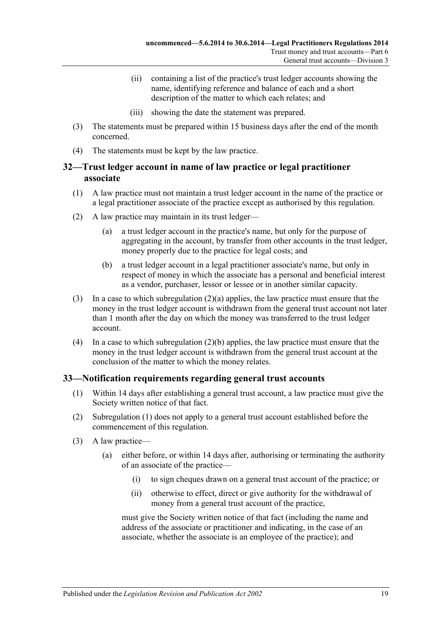- (ii) containing a list of the practice's trust ledger accounts showing the name, identifying reference and balance of each and a short description of the matter to which each relates; and
- (iii) showing the date the statement was prepared.
- (3) The statements must be prepared within 15 business days after the end of the month concerned.
- (4) The statements must be kept by the law practice.

## <span id="page-18-0"></span>**32—Trust ledger account in name of law practice or legal practitioner associate**

- (1) A law practice must not maintain a trust ledger account in the name of the practice or a legal practitioner associate of the practice except as authorised by this regulation.
- <span id="page-18-2"></span>(2) A law practice may maintain in its trust ledger—
	- (a) a trust ledger account in the practice's name, but only for the purpose of aggregating in the account, by transfer from other accounts in the trust ledger, money properly due to the practice for legal costs; and
	- (b) a trust ledger account in a legal practitioner associate's name, but only in respect of money in which the associate has a personal and beneficial interest as a vendor, purchaser, lessor or lessee or in another similar capacity.
- <span id="page-18-3"></span>(3) In a case to which [subregulation](#page-18-2) (2)(a) applies, the law practice must ensure that the money in the trust ledger account is withdrawn from the general trust account not later than 1 month after the day on which the money was transferred to the trust ledger account.
- (4) In a case to which [subregulation](#page-18-3) (2)(b) applies, the law practice must ensure that the money in the trust ledger account is withdrawn from the general trust account at the conclusion of the matter to which the money relates.

## <span id="page-18-4"></span><span id="page-18-1"></span>**33—Notification requirements regarding general trust accounts**

- (1) Within 14 days after establishing a general trust account, a law practice must give the Society written notice of that fact.
- (2) [Subregulation](#page-18-4) (1) does not apply to a general trust account established before the commencement of this regulation.
- (3) A law practice—
	- (a) either before, or within 14 days after, authorising or terminating the authority of an associate of the practice—
		- (i) to sign cheques drawn on a general trust account of the practice; or
		- (ii) otherwise to effect, direct or give authority for the withdrawal of money from a general trust account of the practice,

must give the Society written notice of that fact (including the name and address of the associate or practitioner and indicating, in the case of an associate, whether the associate is an employee of the practice); and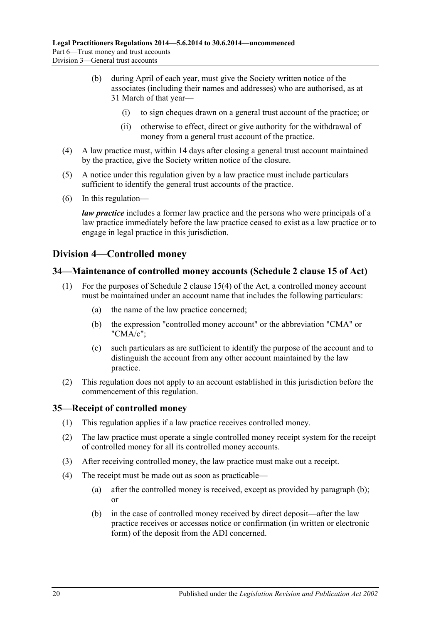- (b) during April of each year, must give the Society written notice of the associates (including their names and addresses) who are authorised, as at 31 March of that year—
	- (i) to sign cheques drawn on a general trust account of the practice; or
	- (ii) otherwise to effect, direct or give authority for the withdrawal of money from a general trust account of the practice.
- (4) A law practice must, within 14 days after closing a general trust account maintained by the practice, give the Society written notice of the closure.
- (5) A notice under this regulation given by a law practice must include particulars sufficient to identify the general trust accounts of the practice.
- (6) In this regulation—

*law practice* includes a former law practice and the persons who were principals of a law practice immediately before the law practice ceased to exist as a law practice or to engage in legal practice in this jurisdiction.

## <span id="page-19-0"></span>**Division 4—Controlled money**

## <span id="page-19-1"></span>**34—Maintenance of controlled money accounts (Schedule 2 clause 15 of Act)**

- (1) For the purposes of Schedule 2 clause 15(4) of the Act, a controlled money account must be maintained under an account name that includes the following particulars:
	- (a) the name of the law practice concerned;
	- (b) the expression "controlled money account" or the abbreviation "CMA" or "CMA/c";
	- (c) such particulars as are sufficient to identify the purpose of the account and to distinguish the account from any other account maintained by the law practice.
- (2) This regulation does not apply to an account established in this jurisdiction before the commencement of this regulation.

## <span id="page-19-2"></span>**35—Receipt of controlled money**

- (1) This regulation applies if a law practice receives controlled money.
- (2) The law practice must operate a single controlled money receipt system for the receipt of controlled money for all its controlled money accounts.
- (3) After receiving controlled money, the law practice must make out a receipt.
- <span id="page-19-3"></span>(4) The receipt must be made out as soon as practicable—
	- (a) after the controlled money is received, except as provided by [paragraph](#page-19-3) (b); or
	- (b) in the case of controlled money received by direct deposit—after the law practice receives or accesses notice or confirmation (in written or electronic form) of the deposit from the ADI concerned.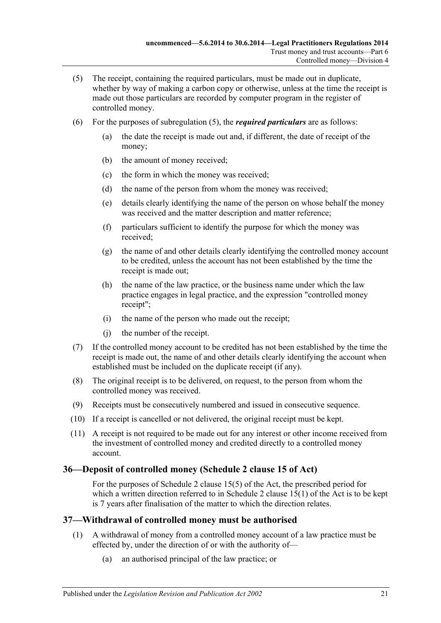- <span id="page-20-2"></span>(5) The receipt, containing the required particulars, must be made out in duplicate, whether by way of making a carbon copy or otherwise, unless at the time the receipt is made out those particulars are recorded by computer program in the register of controlled money.
- (6) For the purposes of [subregulation](#page-20-2) (5), the *required particulars* are as follows:
	- (a) the date the receipt is made out and, if different, the date of receipt of the money;
	- (b) the amount of money received;
	- (c) the form in which the money was received;
	- (d) the name of the person from whom the money was received;
	- (e) details clearly identifying the name of the person on whose behalf the money was received and the matter description and matter reference;
	- (f) particulars sufficient to identify the purpose for which the money was received;
	- (g) the name of and other details clearly identifying the controlled money account to be credited, unless the account has not been established by the time the receipt is made out;
	- (h) the name of the law practice, or the business name under which the law practice engages in legal practice, and the expression "controlled money receipt";
	- (i) the name of the person who made out the receipt;
	- (j) the number of the receipt.
- (7) If the controlled money account to be credited has not been established by the time the receipt is made out, the name of and other details clearly identifying the account when established must be included on the duplicate receipt (if any).
- (8) The original receipt is to be delivered, on request, to the person from whom the controlled money was received.
- (9) Receipts must be consecutively numbered and issued in consecutive sequence.
- (10) If a receipt is cancelled or not delivered, the original receipt must be kept.
- (11) A receipt is not required to be made out for any interest or other income received from the investment of controlled money and credited directly to a controlled money account.

## <span id="page-20-0"></span>**36—Deposit of controlled money (Schedule 2 clause 15 of Act)**

For the purposes of Schedule 2 clause 15(5) of the Act, the prescribed period for which a written direction referred to in Schedule 2 clause 15(1) of the Act is to be kept is 7 years after finalisation of the matter to which the direction relates.

## <span id="page-20-1"></span>**37—Withdrawal of controlled money must be authorised**

- <span id="page-20-3"></span>(1) A withdrawal of money from a controlled money account of a law practice must be effected by, under the direction of or with the authority of—
	- (a) an authorised principal of the law practice; or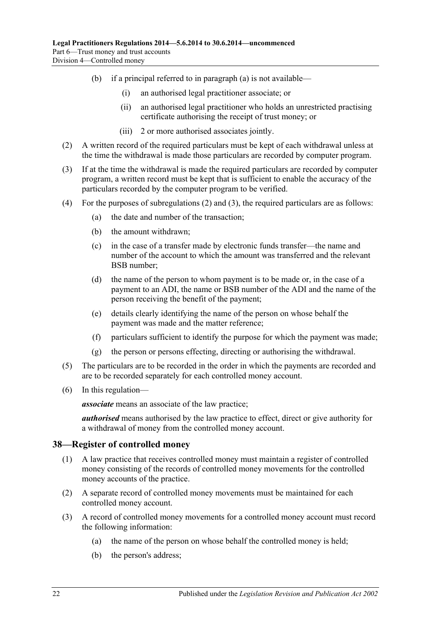- (b) if a principal referred to in [paragraph](#page-20-3) (a) is not available—
	- (i) an authorised legal practitioner associate; or
	- (ii) an authorised legal practitioner who holds an unrestricted practising certificate authorising the receipt of trust money; or
	- (iii) 2 or more authorised associates jointly.
- <span id="page-21-1"></span>(2) A written record of the required particulars must be kept of each withdrawal unless at the time the withdrawal is made those particulars are recorded by computer program.
- <span id="page-21-2"></span>(3) If at the time the withdrawal is made the required particulars are recorded by computer program, a written record must be kept that is sufficient to enable the accuracy of the particulars recorded by the computer program to be verified.
- <span id="page-21-4"></span>(4) For the purposes of [subregulations](#page-21-1) (2) and [\(3\),](#page-21-2) the required particulars are as follows:
	- (a) the date and number of the transaction;
	- (b) the amount withdrawn;
	- (c) in the case of a transfer made by electronic funds transfer—the name and number of the account to which the amount was transferred and the relevant BSB number;
	- (d) the name of the person to whom payment is to be made or, in the case of a payment to an ADI, the name or BSB number of the ADI and the name of the person receiving the benefit of the payment;
	- (e) details clearly identifying the name of the person on whose behalf the payment was made and the matter reference;
	- (f) particulars sufficient to identify the purpose for which the payment was made;
	- (g) the person or persons effecting, directing or authorising the withdrawal.
- (5) The particulars are to be recorded in the order in which the payments are recorded and are to be recorded separately for each controlled money account.
- (6) In this regulation—

*associate* means an associate of the law practice;

*authorised* means authorised by the law practice to effect, direct or give authority for a withdrawal of money from the controlled money account.

## <span id="page-21-0"></span>**38—Register of controlled money**

- (1) A law practice that receives controlled money must maintain a register of controlled money consisting of the records of controlled money movements for the controlled money accounts of the practice.
- (2) A separate record of controlled money movements must be maintained for each controlled money account.
- <span id="page-21-3"></span>(3) A record of controlled money movements for a controlled money account must record the following information:
	- (a) the name of the person on whose behalf the controlled money is held;
	- (b) the person's address;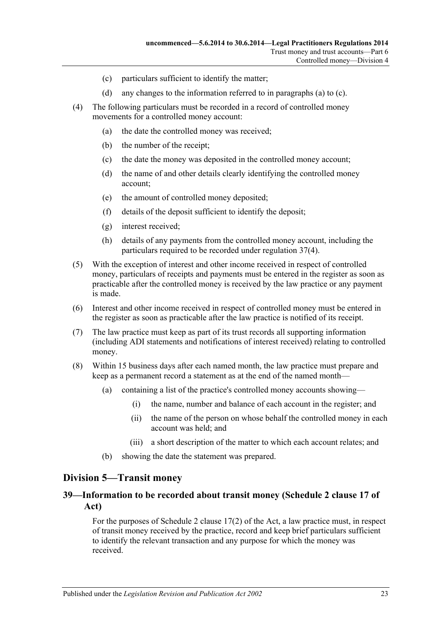- (c) particulars sufficient to identify the matter;
- (d) any changes to the information referred to in [paragraphs](#page-21-3) (a) to [\(c\).](#page-22-2)
- <span id="page-22-2"></span>(4) The following particulars must be recorded in a record of controlled money movements for a controlled money account:
	- (a) the date the controlled money was received;
	- (b) the number of the receipt;
	- (c) the date the money was deposited in the controlled money account;
	- (d) the name of and other details clearly identifying the controlled money account;
	- (e) the amount of controlled money deposited;
	- (f) details of the deposit sufficient to identify the deposit;
	- (g) interest received;
	- (h) details of any payments from the controlled money account, including the particulars required to be recorded under [regulation](#page-21-4) 37(4).
- (5) With the exception of interest and other income received in respect of controlled money, particulars of receipts and payments must be entered in the register as soon as practicable after the controlled money is received by the law practice or any payment is made.
- (6) Interest and other income received in respect of controlled money must be entered in the register as soon as practicable after the law practice is notified of its receipt.
- (7) The law practice must keep as part of its trust records all supporting information (including ADI statements and notifications of interest received) relating to controlled money.
- (8) Within 15 business days after each named month, the law practice must prepare and keep as a permanent record a statement as at the end of the named month—
	- (a) containing a list of the practice's controlled money accounts showing—
		- (i) the name, number and balance of each account in the register; and
		- (ii) the name of the person on whose behalf the controlled money in each account was held; and
		- (iii) a short description of the matter to which each account relates; and
	- (b) showing the date the statement was prepared.

#### <span id="page-22-0"></span>**Division 5—Transit money**

## <span id="page-22-1"></span>**39—Information to be recorded about transit money (Schedule 2 clause 17 of Act)**

For the purposes of Schedule 2 clause 17(2) of the Act, a law practice must, in respect of transit money received by the practice, record and keep brief particulars sufficient to identify the relevant transaction and any purpose for which the money was received.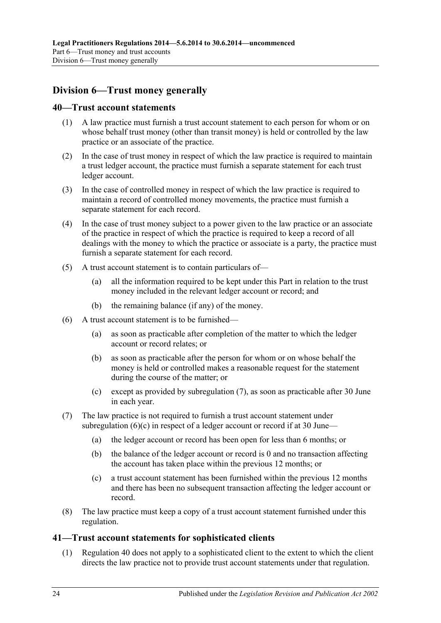## <span id="page-23-0"></span>**Division 6—Trust money generally**

#### <span id="page-23-1"></span>**40—Trust account statements**

- (1) A law practice must furnish a trust account statement to each person for whom or on whose behalf trust money (other than transit money) is held or controlled by the law practice or an associate of the practice.
- (2) In the case of trust money in respect of which the law practice is required to maintain a trust ledger account, the practice must furnish a separate statement for each trust ledger account.
- (3) In the case of controlled money in respect of which the law practice is required to maintain a record of controlled money movements, the practice must furnish a separate statement for each record.
- (4) In the case of trust money subject to a power given to the law practice or an associate of the practice in respect of which the practice is required to keep a record of all dealings with the money to which the practice or associate is a party, the practice must furnish a separate statement for each record.
- (5) A trust account statement is to contain particulars of—
	- (a) all the information required to be kept under this Part in relation to the trust money included in the relevant ledger account or record; and
	- (b) the remaining balance (if any) of the money.
- (6) A trust account statement is to be furnished—
	- (a) as soon as practicable after completion of the matter to which the ledger account or record relates; or
	- (b) as soon as practicable after the person for whom or on whose behalf the money is held or controlled makes a reasonable request for the statement during the course of the matter; or
	- (c) except as provided by [subregulation](#page-23-3) (7), as soon as practicable after 30 June in each year.
- <span id="page-23-4"></span><span id="page-23-3"></span>(7) The law practice is not required to furnish a trust account statement under [subregulation](#page-23-4)  $(6)(c)$  in respect of a ledger account or record if at 30 June—
	- (a) the ledger account or record has been open for less than 6 months; or
	- (b) the balance of the ledger account or record is 0 and no transaction affecting the account has taken place within the previous 12 months; or
	- (c) a trust account statement has been furnished within the previous 12 months and there has been no subsequent transaction affecting the ledger account or record.
- (8) The law practice must keep a copy of a trust account statement furnished under this regulation.

## <span id="page-23-2"></span>**41—Trust account statements for sophisticated clients**

(1) [Regulation](#page-23-1) 40 does not apply to a sophisticated client to the extent to which the client directs the law practice not to provide trust account statements under that regulation.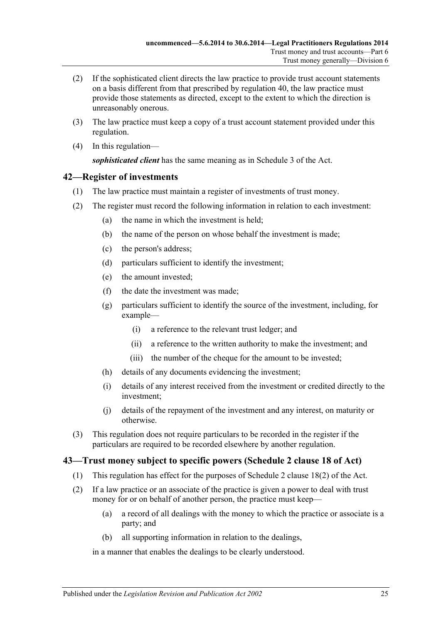- (2) If the sophisticated client directs the law practice to provide trust account statements on a basis different from that prescribed by [regulation](#page-23-1) 40, the law practice must provide those statements as directed, except to the extent to which the direction is unreasonably onerous.
- (3) The law practice must keep a copy of a trust account statement provided under this regulation.
- (4) In this regulation—

*sophisticated client* has the same meaning as in Schedule 3 of the Act.

## <span id="page-24-0"></span>**42—Register of investments**

- (1) The law practice must maintain a register of investments of trust money.
- (2) The register must record the following information in relation to each investment:
	- (a) the name in which the investment is held;
	- (b) the name of the person on whose behalf the investment is made;
	- (c) the person's address;
	- (d) particulars sufficient to identify the investment;
	- (e) the amount invested;
	- (f) the date the investment was made;
	- (g) particulars sufficient to identify the source of the investment, including, for example—
		- (i) a reference to the relevant trust ledger; and
		- (ii) a reference to the written authority to make the investment; and
		- (iii) the number of the cheque for the amount to be invested;
	- (h) details of any documents evidencing the investment;
	- (i) details of any interest received from the investment or credited directly to the investment;
	- (j) details of the repayment of the investment and any interest, on maturity or otherwise.
- (3) This regulation does not require particulars to be recorded in the register if the particulars are required to be recorded elsewhere by another regulation.

## <span id="page-24-1"></span>**43—Trust money subject to specific powers (Schedule 2 clause 18 of Act)**

- (1) This regulation has effect for the purposes of Schedule 2 clause 18(2) of the Act.
- (2) If a law practice or an associate of the practice is given a power to deal with trust money for or on behalf of another person, the practice must keep—
	- (a) a record of all dealings with the money to which the practice or associate is a party; and
	- (b) all supporting information in relation to the dealings,

in a manner that enables the dealings to be clearly understood.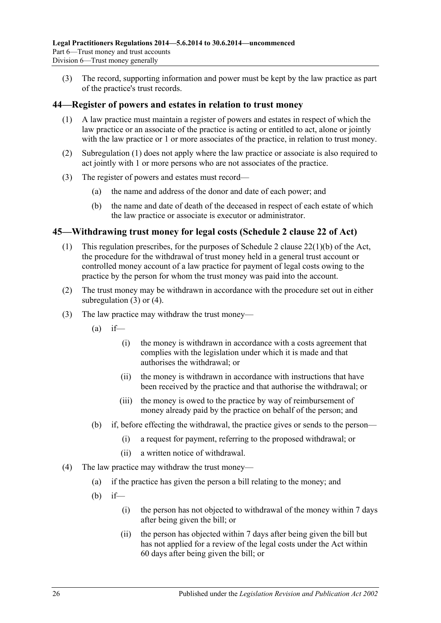(3) The record, supporting information and power must be kept by the law practice as part of the practice's trust records.

## <span id="page-25-2"></span><span id="page-25-0"></span>**44—Register of powers and estates in relation to trust money**

- (1) A law practice must maintain a register of powers and estates in respect of which the law practice or an associate of the practice is acting or entitled to act, alone or jointly with the law practice or 1 or more associates of the practice, in relation to trust money.
- (2) [Subregulation](#page-25-2) (1) does not apply where the law practice or associate is also required to act jointly with 1 or more persons who are not associates of the practice.
- (3) The register of powers and estates must record—
	- (a) the name and address of the donor and date of each power; and
	- (b) the name and date of death of the deceased in respect of each estate of which the law practice or associate is executor or administrator.

## <span id="page-25-1"></span>**45—Withdrawing trust money for legal costs (Schedule 2 clause 22 of Act)**

- (1) This regulation prescribes, for the purposes of Schedule 2 clause 22(1)(b) of the Act, the procedure for the withdrawal of trust money held in a general trust account or controlled money account of a law practice for payment of legal costs owing to the practice by the person for whom the trust money was paid into the account.
- (2) The trust money may be withdrawn in accordance with the procedure set out in either [subregulation](#page-25-3) (3) or [\(4\).](#page-25-4)
- <span id="page-25-5"></span><span id="page-25-3"></span>(3) The law practice may withdraw the trust money—
	- $(a)$  if—
		- (i) the money is withdrawn in accordance with a costs agreement that complies with the legislation under which it is made and that authorises the withdrawal; or
		- (ii) the money is withdrawn in accordance with instructions that have been received by the practice and that authorise the withdrawal; or
		- (iii) the money is owed to the practice by way of reimbursement of money already paid by the practice on behalf of the person; and
	- (b) if, before effecting the withdrawal, the practice gives or sends to the person—
		- (i) a request for payment, referring to the proposed withdrawal; or
		- (ii) a written notice of withdrawal.
- <span id="page-25-6"></span><span id="page-25-4"></span>(4) The law practice may withdraw the trust money—
	- (a) if the practice has given the person a bill relating to the money; and
	- $(b)$  if—
		- (i) the person has not objected to withdrawal of the money within 7 days after being given the bill; or
		- (ii) the person has objected within 7 days after being given the bill but has not applied for a review of the legal costs under the Act within 60 days after being given the bill; or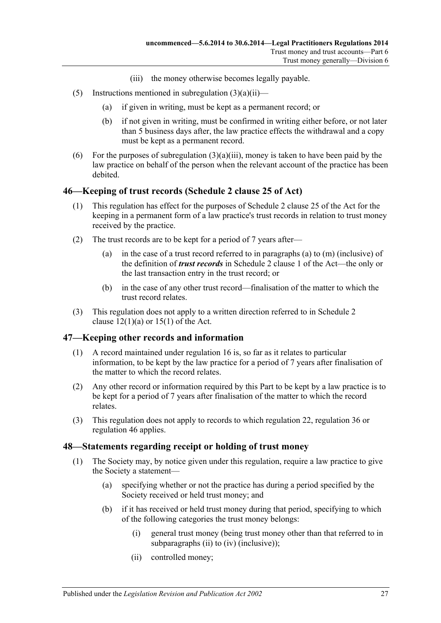- (iii) the money otherwise becomes legally payable.
- (5) Instructions mentioned in [subregulation](#page-25-5)  $(3)(a)(ii)$ 
	- (a) if given in writing, must be kept as a permanent record; or
	- (b) if not given in writing, must be confirmed in writing either before, or not later than 5 business days after, the law practice effects the withdrawal and a copy must be kept as a permanent record.
- (6) For the purposes of [subregulation](#page-25-6)  $(3)(a)(iii)$ , money is taken to have been paid by the law practice on behalf of the person when the relevant account of the practice has been debited.

#### <span id="page-26-0"></span>**46—Keeping of trust records (Schedule 2 clause 25 of Act)**

- (1) This regulation has effect for the purposes of Schedule 2 clause 25 of the Act for the keeping in a permanent form of a law practice's trust records in relation to trust money received by the practice.
- (2) The trust records are to be kept for a period of 7 years after—
	- (a) in the case of a trust record referred to in paragraphs (a) to (m) (inclusive) of the definition of *trust records* in Schedule 2 clause 1 of the Act—the only or the last transaction entry in the trust record; or
	- (b) in the case of any other trust record—finalisation of the matter to which the trust record relates.
- (3) This regulation does not apply to a written direction referred to in Schedule 2 clause  $12(1)(a)$  or  $15(1)$  of the Act.

## <span id="page-26-1"></span>**47—Keeping other records and information**

- (1) A record maintained under [regulation](#page-8-0) 16 is, so far as it relates to particular information, to be kept by the law practice for a period of 7 years after finalisation of the matter to which the record relates.
- (2) Any other record or information required by this Part to be kept by a law practice is to be kept for a period of 7 years after finalisation of the matter to which the record relates.
- (3) This regulation does not apply to records to which [regulation](#page-11-0) 22, [regulation](#page-20-0) 36 or [regulation](#page-26-0) 46 applies.

#### <span id="page-26-2"></span>**48—Statements regarding receipt or holding of trust money**

- <span id="page-26-3"></span>(1) The Society may, by notice given under this regulation, require a law practice to give the Society a statement—
	- (a) specifying whether or not the practice has during a period specified by the Society received or held trust money; and
	- (b) if it has received or held trust money during that period, specifying to which of the following categories the trust money belongs:
		- (i) general trust money (being trust money other than that referred to in [subparagraphs](#page-26-3) (ii) to [\(iv\)](#page-27-2) (inclusive));
		- (ii) controlled money;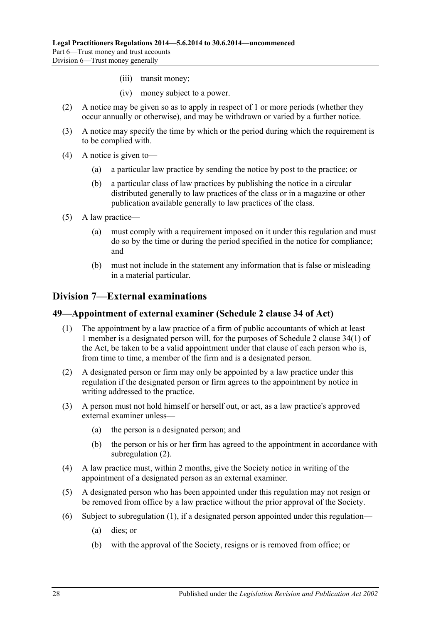- (iii) transit money;
- (iv) money subject to a power.
- <span id="page-27-2"></span>(2) A notice may be given so as to apply in respect of 1 or more periods (whether they occur annually or otherwise), and may be withdrawn or varied by a further notice.
- (3) A notice may specify the time by which or the period during which the requirement is to be complied with.
- (4) A notice is given to—
	- (a) a particular law practice by sending the notice by post to the practice; or
	- (b) a particular class of law practices by publishing the notice in a circular distributed generally to law practices of the class or in a magazine or other publication available generally to law practices of the class.
- (5) A law practice—
	- (a) must comply with a requirement imposed on it under this regulation and must do so by the time or during the period specified in the notice for compliance; and
	- (b) must not include in the statement any information that is false or misleading in a material particular.

## <span id="page-27-0"></span>**Division 7—External examinations**

#### <span id="page-27-4"></span><span id="page-27-1"></span>**49—Appointment of external examiner (Schedule 2 clause 34 of Act)**

- (1) The appointment by a law practice of a firm of public accountants of which at least 1 member is a designated person will, for the purposes of Schedule 2 clause 34(1) of the Act, be taken to be a valid appointment under that clause of each person who is, from time to time, a member of the firm and is a designated person.
- <span id="page-27-3"></span>(2) A designated person or firm may only be appointed by a law practice under this regulation if the designated person or firm agrees to the appointment by notice in writing addressed to the practice.
- (3) A person must not hold himself or herself out, or act, as a law practice's approved external examiner unless—
	- (a) the person is a designated person; and
	- (b) the person or his or her firm has agreed to the appointment in accordance with [subregulation](#page-27-3) (2).
- (4) A law practice must, within 2 months, give the Society notice in writing of the appointment of a designated person as an external examiner.
- (5) A designated person who has been appointed under this regulation may not resign or be removed from office by a law practice without the prior approval of the Society.
- <span id="page-27-5"></span>(6) Subject to [subregulation](#page-27-4) (1), if a designated person appointed under this regulation—
	- (a) dies; or
	- (b) with the approval of the Society, resigns or is removed from office; or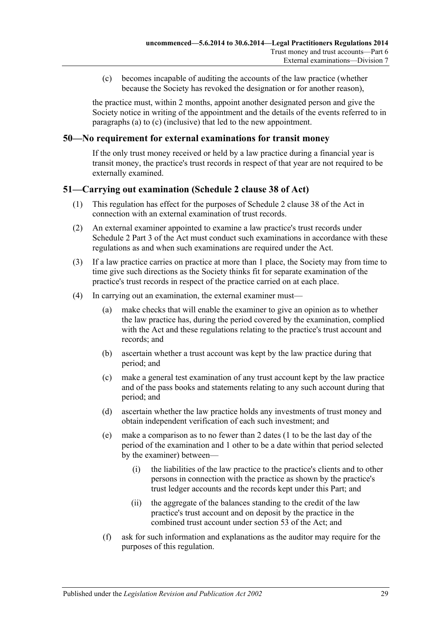(c) becomes incapable of auditing the accounts of the law practice (whether because the Society has revoked the designation or for another reason),

<span id="page-28-2"></span>the practice must, within 2 months, appoint another designated person and give the Society notice in writing of the appointment and the details of the events referred to in [paragraphs](#page-27-5) (a) to [\(c\)](#page-28-2) (inclusive) that led to the new appointment.

#### <span id="page-28-0"></span>**50—No requirement for external examinations for transit money**

If the only trust money received or held by a law practice during a financial year is transit money, the practice's trust records in respect of that year are not required to be externally examined.

#### <span id="page-28-1"></span>**51—Carrying out examination (Schedule 2 clause 38 of Act)**

- (1) This regulation has effect for the purposes of Schedule 2 clause 38 of the Act in connection with an external examination of trust records.
- (2) An external examiner appointed to examine a law practice's trust records under Schedule 2 Part 3 of the Act must conduct such examinations in accordance with these regulations as and when such examinations are required under the Act.
- (3) If a law practice carries on practice at more than 1 place, the Society may from time to time give such directions as the Society thinks fit for separate examination of the practice's trust records in respect of the practice carried on at each place.
- <span id="page-28-4"></span><span id="page-28-3"></span>(4) In carrying out an examination, the external examiner must—
	- (a) make checks that will enable the examiner to give an opinion as to whether the law practice has, during the period covered by the examination, complied with the Act and these regulations relating to the practice's trust account and records; and
	- (b) ascertain whether a trust account was kept by the law practice during that period; and
	- (c) make a general test examination of any trust account kept by the law practice and of the pass books and statements relating to any such account during that period; and
	- (d) ascertain whether the law practice holds any investments of trust money and obtain independent verification of each such investment; and
	- (e) make a comparison as to no fewer than 2 dates (1 to be the last day of the period of the examination and 1 other to be a date within that period selected by the examiner) between—
		- (i) the liabilities of the law practice to the practice's clients and to other persons in connection with the practice as shown by the practice's trust ledger accounts and the records kept under this Part; and
		- (ii) the aggregate of the balances standing to the credit of the law practice's trust account and on deposit by the practice in the combined trust account under section 53 of the Act; and
	- (f) ask for such information and explanations as the auditor may require for the purposes of this regulation.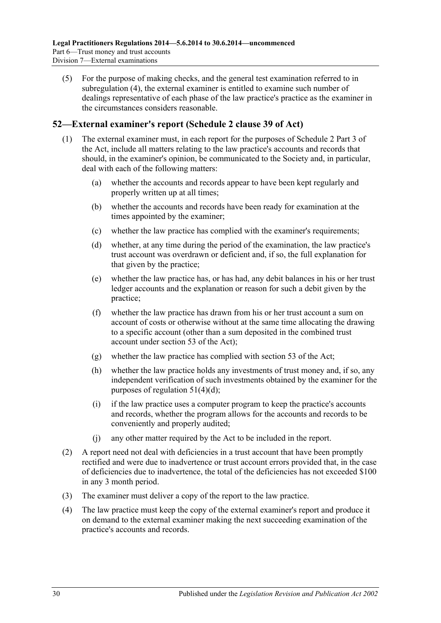(5) For the purpose of making checks, and the general test examination referred to in [subregulation](#page-28-3) (4), the external examiner is entitled to examine such number of dealings representative of each phase of the law practice's practice as the examiner in the circumstances considers reasonable.

## <span id="page-29-0"></span>**52—External examiner's report (Schedule 2 clause 39 of Act)**

- (1) The external examiner must, in each report for the purposes of Schedule 2 Part 3 of the Act, include all matters relating to the law practice's accounts and records that should, in the examiner's opinion, be communicated to the Society and, in particular, deal with each of the following matters:
	- (a) whether the accounts and records appear to have been kept regularly and properly written up at all times;
	- (b) whether the accounts and records have been ready for examination at the times appointed by the examiner;
	- (c) whether the law practice has complied with the examiner's requirements;
	- (d) whether, at any time during the period of the examination, the law practice's trust account was overdrawn or deficient and, if so, the full explanation for that given by the practice;
	- (e) whether the law practice has, or has had, any debit balances in his or her trust ledger accounts and the explanation or reason for such a debit given by the practice;
	- (f) whether the law practice has drawn from his or her trust account a sum on account of costs or otherwise without at the same time allocating the drawing to a specific account (other than a sum deposited in the combined trust account under section 53 of the Act);
	- (g) whether the law practice has complied with section 53 of the Act;
	- (h) whether the law practice holds any investments of trust money and, if so, any independent verification of such investments obtained by the examiner for the purposes of [regulation](#page-28-4) 51(4)(d);
	- (i) if the law practice uses a computer program to keep the practice's accounts and records, whether the program allows for the accounts and records to be conveniently and properly audited;
	- (j) any other matter required by the Act to be included in the report.
- (2) A report need not deal with deficiencies in a trust account that have been promptly rectified and were due to inadvertence or trust account errors provided that, in the case of deficiencies due to inadvertence, the total of the deficiencies has not exceeded \$100 in any 3 month period.
- (3) The examiner must deliver a copy of the report to the law practice.
- (4) The law practice must keep the copy of the external examiner's report and produce it on demand to the external examiner making the next succeeding examination of the practice's accounts and records.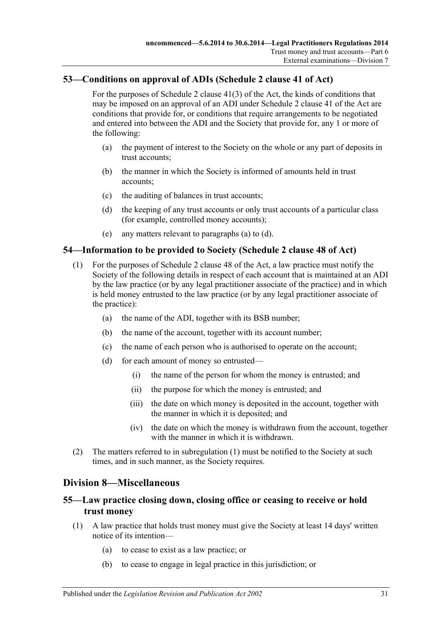## <span id="page-30-0"></span>**53—Conditions on approval of ADIs (Schedule 2 clause 41 of Act)**

For the purposes of Schedule 2 clause 41(3) of the Act, the kinds of conditions that may be imposed on an approval of an ADI under Schedule 2 clause 41 of the Act are conditions that provide for, or conditions that require arrangements to be negotiated and entered into between the ADI and the Society that provide for, any 1 or more of the following:

- <span id="page-30-5"></span>(a) the payment of interest to the Society on the whole or any part of deposits in trust accounts;
- (b) the manner in which the Society is informed of amounts held in trust accounts;
- (c) the auditing of balances in trust accounts;
- <span id="page-30-6"></span>(d) the keeping of any trust accounts or only trust accounts of a particular class (for example, controlled money accounts);
- (e) any matters relevant to [paragraphs](#page-30-5) (a) to [\(d\).](#page-30-6)

## <span id="page-30-7"></span><span id="page-30-1"></span>**54—Information to be provided to Society (Schedule 2 clause 48 of Act)**

- (1) For the purposes of Schedule 2 clause 48 of the Act, a law practice must notify the Society of the following details in respect of each account that is maintained at an ADI by the law practice (or by any legal practitioner associate of the practice) and in which is held money entrusted to the law practice (or by any legal practitioner associate of the practice):
	- (a) the name of the ADI, together with its BSB number;
	- (b) the name of the account, together with its account number;
	- (c) the name of each person who is authorised to operate on the account;
	- (d) for each amount of money so entrusted—
		- (i) the name of the person for whom the money is entrusted; and
		- (ii) the purpose for which the money is entrusted; and
		- (iii) the date on which money is deposited in the account, together with the manner in which it is deposited; and
		- (iv) the date on which the money is withdrawn from the account, together with the manner in which it is withdrawn.
- (2) The matters referred to in [subregulation](#page-30-7) (1) must be notified to the Society at such times, and in such manner, as the Society requires.

## <span id="page-30-2"></span>**Division 8—Miscellaneous**

## <span id="page-30-3"></span>**55—Law practice closing down, closing office or ceasing to receive or hold trust money**

- <span id="page-30-4"></span>(1) A law practice that holds trust money must give the Society at least 14 days' written notice of its intention—
	- (a) to cease to exist as a law practice; or
	- (b) to cease to engage in legal practice in this jurisdiction; or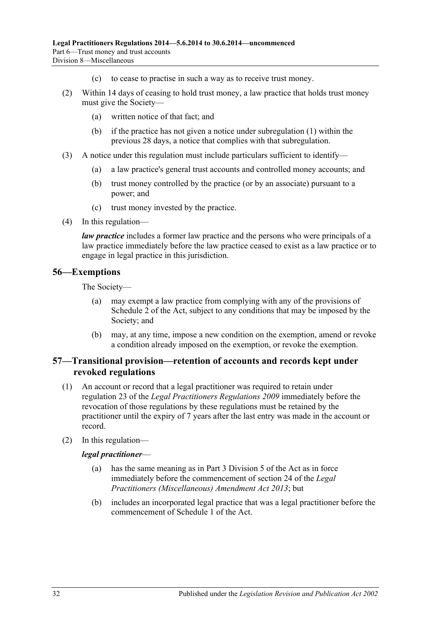- (c) to cease to practise in such a way as to receive trust money.
- (2) Within 14 days of ceasing to hold trust money, a law practice that holds trust money must give the Society—
	- (a) written notice of that fact; and
	- (b) if the practice has not given a notice under [subregulation](#page-30-4) (1) within the previous 28 days, a notice that complies with that subregulation.
- (3) A notice under this regulation must include particulars sufficient to identify—
	- (a) a law practice's general trust accounts and controlled money accounts; and
	- (b) trust money controlled by the practice (or by an associate) pursuant to a power; and
	- (c) trust money invested by the practice.
- (4) In this regulation—

*law practice* includes a former law practice and the persons who were principals of a law practice immediately before the law practice ceased to exist as a law practice or to engage in legal practice in this jurisdiction.

#### <span id="page-31-0"></span>**56—Exemptions**

The Society—

- (a) may exempt a law practice from complying with any of the provisions of Schedule 2 of the Act, subject to any conditions that may be imposed by the Society; and
- (b) may, at any time, impose a new condition on the exemption, amend or revoke a condition already imposed on the exemption, or revoke the exemption.

## <span id="page-31-1"></span>**57—Transitional provision—retention of accounts and records kept under revoked regulations**

- (1) An account or record that a legal practitioner was required to retain under regulation 23 of the *[Legal Practitioners Regulations](http://www.legislation.sa.gov.au/index.aspx?action=legref&type=subordleg&legtitle=Legal%20Practitioners%20Regulations%202009) 2009* immediately before the revocation of those regulations by these regulations must be retained by the practitioner until the expiry of 7 years after the last entry was made in the account or record.
- (2) In this regulation—

#### *legal practitioner*—

- (a) has the same meaning as in Part 3 Division 5 of the Act as in force immediately before the commencement of section 24 of the *[Legal](http://www.legislation.sa.gov.au/index.aspx?action=legref&type=act&legtitle=Legal%20Practitioners%20(Miscellaneous)%20Amendment%20Act%202013)  [Practitioners \(Miscellaneous\) Amendment Act](http://www.legislation.sa.gov.au/index.aspx?action=legref&type=act&legtitle=Legal%20Practitioners%20(Miscellaneous)%20Amendment%20Act%202013) 2013*; but
- (b) includes an incorporated legal practice that was a legal practitioner before the commencement of Schedule 1 of the Act.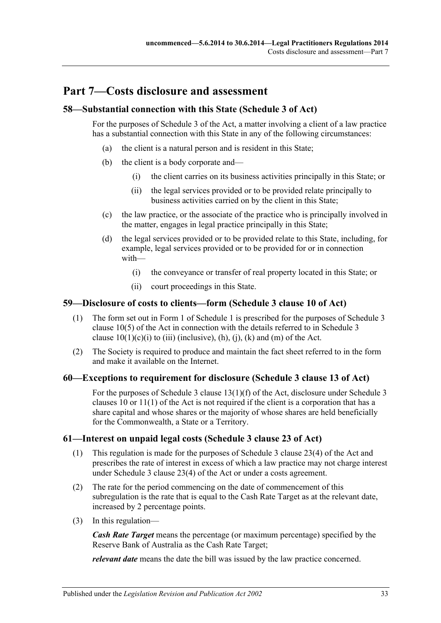## <span id="page-32-0"></span>**Part 7—Costs disclosure and assessment**

## <span id="page-32-1"></span>**58—Substantial connection with this State (Schedule 3 of Act)**

For the purposes of Schedule 3 of the Act, a matter involving a client of a law practice has a substantial connection with this State in any of the following circumstances:

- (a) the client is a natural person and is resident in this State;
- (b) the client is a body corporate and—
	- (i) the client carries on its business activities principally in this State; or
	- (ii) the legal services provided or to be provided relate principally to business activities carried on by the client in this State;
- (c) the law practice, or the associate of the practice who is principally involved in the matter, engages in legal practice principally in this State;
- (d) the legal services provided or to be provided relate to this State, including, for example, legal services provided or to be provided for or in connection with—
	- (i) the conveyance or transfer of real property located in this State; or
	- (ii) court proceedings in this State.

## <span id="page-32-2"></span>**59—Disclosure of costs to clients—form (Schedule 3 clause 10 of Act)**

- (1) The form set out in Form 1 of [Schedule](#page-35-3) 1 is prescribed for the purposes of Schedule 3 clause 10(5) of the Act in connection with the details referred to in Schedule 3 clause  $10(1)(c)(i)$  to (iii) (inclusive), (h), (i), (k) and (m) of the Act.
- (2) The Society is required to produce and maintain the fact sheet referred to in the form and make it available on the Internet.

## <span id="page-32-3"></span>**60—Exceptions to requirement for disclosure (Schedule 3 clause 13 of Act)**

For the purposes of Schedule 3 clause 13(1)(f) of the Act, disclosure under Schedule 3 clauses 10 or 11(1) of the Act is not required if the client is a corporation that has a share capital and whose shares or the majority of whose shares are held beneficially for the Commonwealth, a State or a Territory.

## <span id="page-32-4"></span>**61—Interest on unpaid legal costs (Schedule 3 clause 23 of Act)**

- (1) This regulation is made for the purposes of Schedule 3 clause 23(4) of the Act and prescribes the rate of interest in excess of which a law practice may not charge interest under Schedule 3 clause 23(4) of the Act or under a costs agreement.
- (2) The rate for the period commencing on the date of commencement of this subregulation is the rate that is equal to the Cash Rate Target as at the relevant date, increased by 2 percentage points.
- (3) In this regulation—

*Cash Rate Target* means the percentage (or maximum percentage) specified by the Reserve Bank of Australia as the Cash Rate Target;

*relevant date* means the date the bill was issued by the law practice concerned.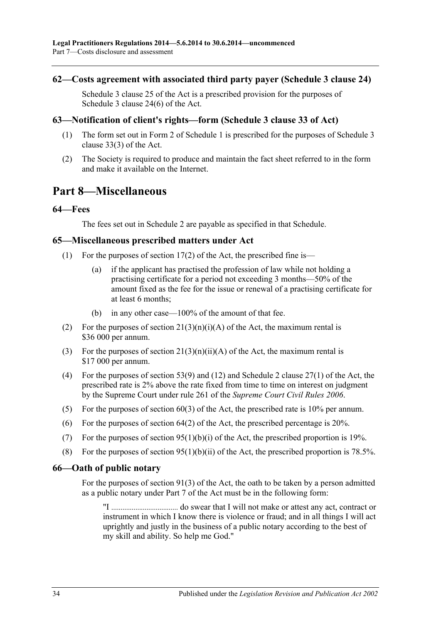#### <span id="page-33-0"></span>**62—Costs agreement with associated third party payer (Schedule 3 clause 24)**

Schedule 3 clause 25 of the Act is a prescribed provision for the purposes of Schedule 3 clause 24(6) of the Act.

## <span id="page-33-1"></span>**63—Notification of client's rights—form (Schedule 3 clause 33 of Act)**

- (1) The form set out in Form 2 of [Schedule](#page-35-3) 1 is prescribed for the purposes of Schedule 3 clause 33(3) of the Act.
- (2) The Society is required to produce and maintain the fact sheet referred to in the form and make it available on the Internet.

## <span id="page-33-2"></span>**Part 8—Miscellaneous**

#### <span id="page-33-3"></span>**64—Fees**

The fees set out in [Schedule](#page-36-0) 2 are payable as specified in that Schedule.

#### <span id="page-33-4"></span>**65—Miscellaneous prescribed matters under Act**

- (1) For the purposes of section  $17(2)$  of the Act, the prescribed fine is—
	- (a) if the applicant has practised the profession of law while not holding a practising certificate for a period not exceeding 3 months—50% of the amount fixed as the fee for the issue or renewal of a practising certificate for at least 6 months;
	- (b) in any other case—100% of the amount of that fee.
- (2) For the purposes of section  $21(3)(n)(i)(A)$  of the Act, the maximum rental is \$36 000 per annum.
- (3) For the purposes of section  $21(3)(n)(ii)(A)$  of the Act, the maximum rental is \$17 000 per annum.
- (4) For the purposes of section 53(9) and (12) and Schedule 2 clause 27(1) of the Act, the prescribed rate is 2% above the rate fixed from time to time on interest on judgment by the Supreme Court under rule 261 of the *Supreme Court Civil Rules 2006*.
- (5) For the purposes of section 60(3) of the Act, the prescribed rate is 10% per annum.
- (6) For the purposes of section  $64(2)$  of the Act, the prescribed percentage is 20%.
- (7) For the purposes of section  $95(1)(b)(i)$  of the Act, the prescribed proportion is 19%.
- (8) For the purposes of section  $95(1)(b)(ii)$  of the Act, the prescribed proportion is 78.5%.

#### <span id="page-33-5"></span>**66—Oath of public notary**

For the purposes of section 91(3) of the Act, the oath to be taken by a person admitted as a public notary under Part 7 of the Act must be in the following form:

"I .................................... do swear that I will not make or attest any act, contract or instrument in which I know there is violence or fraud; and in all things I will act uprightly and justly in the business of a public notary according to the best of my skill and ability. So help me God."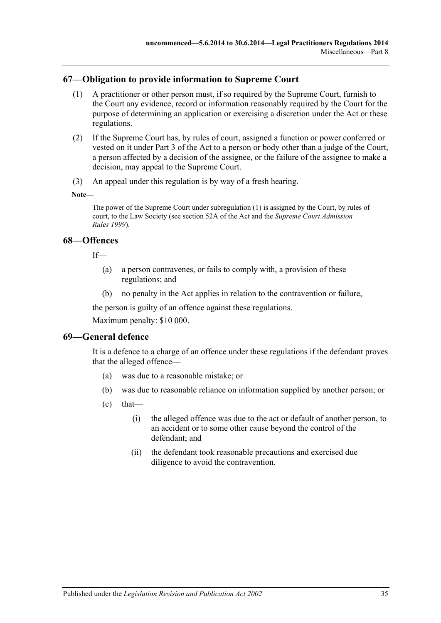## <span id="page-34-3"></span><span id="page-34-0"></span>**67—Obligation to provide information to Supreme Court**

- (1) A practitioner or other person must, if so required by the Supreme Court, furnish to the Court any evidence, record or information reasonably required by the Court for the purpose of determining an application or exercising a discretion under the Act or these regulations.
- (2) If the Supreme Court has, by rules of court, assigned a function or power conferred or vested on it under Part 3 of the Act to a person or body other than a judge of the Court, a person affected by a decision of the assignee, or the failure of the assignee to make a decision, may appeal to the Supreme Court.
- (3) An appeal under this regulation is by way of a fresh hearing.

**Note—**

The power of the Supreme Court unde[r subregulation](#page-34-3) (1) is assigned by the Court, by rules of court, to the Law Society (see section 52A of the Act and the *Supreme Court Admission Rules 1999*).

## <span id="page-34-1"></span>**68—Offences**

 $If$ <sub> $\equiv$ </sub>

- (a) a person contravenes, or fails to comply with, a provision of these regulations; and
- (b) no penalty in the Act applies in relation to the contravention or failure,

the person is guilty of an offence against these regulations.

Maximum penalty: \$10 000.

#### <span id="page-34-2"></span>**69—General defence**

It is a defence to a charge of an offence under these regulations if the defendant proves that the alleged offence—

- (a) was due to a reasonable mistake; or
- (b) was due to reasonable reliance on information supplied by another person; or
- $\text{(c)}$  that—
	- (i) the alleged offence was due to the act or default of another person, to an accident or to some other cause beyond the control of the defendant; and
	- (ii) the defendant took reasonable precautions and exercised due diligence to avoid the contravention.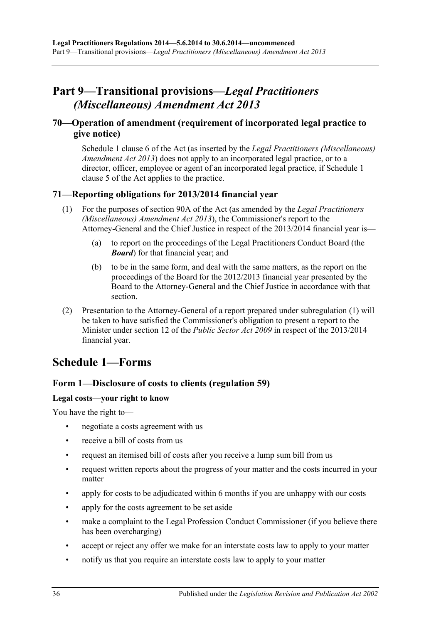# <span id="page-35-0"></span>**Part 9—Transitional provisions—***Legal Practitioners (Miscellaneous) Amendment Act 2013*

## <span id="page-35-1"></span>**70—Operation of amendment (requirement of incorporated legal practice to give notice)**

Schedule 1 clause 6 of the Act (as inserted by the *[Legal Practitioners \(Miscellaneous\)](http://www.legislation.sa.gov.au/index.aspx?action=legref&type=act&legtitle=Legal%20Practitioners%20(Miscellaneous)%20Amendment%20Act%202013)  [Amendment Act](http://www.legislation.sa.gov.au/index.aspx?action=legref&type=act&legtitle=Legal%20Practitioners%20(Miscellaneous)%20Amendment%20Act%202013) 2013*) does not apply to an incorporated legal practice, or to a director, officer, employee or agent of an incorporated legal practice, if Schedule 1 clause 5 of the Act applies to the practice.

## <span id="page-35-4"></span><span id="page-35-2"></span>**71—Reporting obligations for 2013/2014 financial year**

- (1) For the purposes of section 90A of the Act (as amended by the *[Legal Practitioners](http://www.legislation.sa.gov.au/index.aspx?action=legref&type=act&legtitle=Legal%20Practitioners%20(Miscellaneous)%20Amendment%20Act%202013)  [\(Miscellaneous\) Amendment Act](http://www.legislation.sa.gov.au/index.aspx?action=legref&type=act&legtitle=Legal%20Practitioners%20(Miscellaneous)%20Amendment%20Act%202013) 2013*), the Commissioner's report to the Attorney-General and the Chief Justice in respect of the 2013/2014 financial year is—
	- (a) to report on the proceedings of the Legal Practitioners Conduct Board (the *Board*) for that financial year; and
	- (b) to be in the same form, and deal with the same matters, as the report on the proceedings of the Board for the 2012/2013 financial year presented by the Board to the Attorney-General and the Chief Justice in accordance with that section.
- (2) Presentation to the Attorney-General of a report prepared under [subregulation](#page-35-4) (1) will be taken to have satisfied the Commissioner's obligation to present a report to the Minister under section 12 of the *[Public Sector Act](http://www.legislation.sa.gov.au/index.aspx?action=legref&type=act&legtitle=Public%20Sector%20Act%202009) 2009* in respect of the 2013/2014 financial year.

## <span id="page-35-3"></span>**Schedule 1—Forms**

## **Form 1—Disclosure of costs to clients [\(regulation](#page-32-2) 59)**

#### **Legal costs—your right to know**

You have the right to—

- negotiate a costs agreement with us
- receive a bill of costs from us
- request an itemised bill of costs after you receive a lump sum bill from us
- request written reports about the progress of your matter and the costs incurred in your matter
- apply for costs to be adjudicated within 6 months if you are unhappy with our costs
- apply for the costs agreement to be set aside
- make a complaint to the Legal Profession Conduct Commissioner (if you believe there has been overcharging)
- accept or reject any offer we make for an interstate costs law to apply to your matter
- notify us that you require an interstate costs law to apply to your matter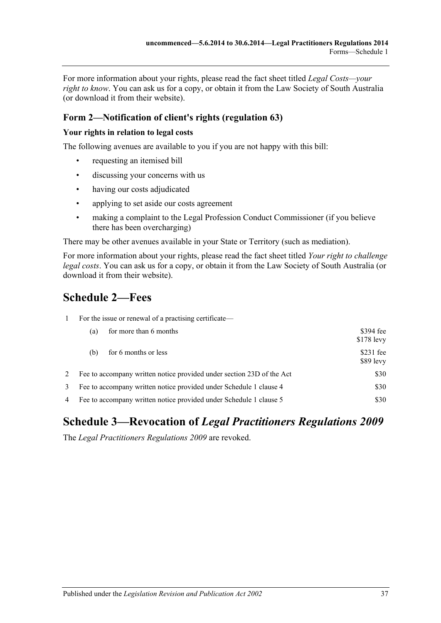For more information about your rights, please read the fact sheet titled *Legal Costs—your right to know*. You can ask us for a copy, or obtain it from the Law Society of South Australia (or download it from their website).

## **Form 2—Notification of client's rights [\(regulation](#page-33-1) 63)**

#### **Your rights in relation to legal costs**

The following avenues are available to you if you are not happy with this bill:

- requesting an itemised bill
- discussing your concerns with us
- having our costs adjudicated
- applying to set aside our costs agreement
- making a complaint to the Legal Profession Conduct Commissioner (if you believe there has been overcharging)

There may be other avenues available in your State or Territory (such as mediation).

For more information about your rights, please read the fact sheet titled *Your right to challenge legal costs*. You can ask us for a copy, or obtain it from the Law Society of South Australia (or download it from their website).

# <span id="page-36-0"></span>**Schedule 2—Fees**

| $\mathbf{1}$ | For the issue or renewal of a practising certificate—                      |                          |  |
|--------------|----------------------------------------------------------------------------|--------------------------|--|
|              | for more than 6 months<br>(a)                                              | \$394 fee<br>$$178$ levy |  |
|              | for 6 months or less<br>(b)                                                | $$231$ fee<br>$$89$ levy |  |
| 2            | Fee to accompany written notice provided under section 23D of the Act      |                          |  |
| 3            | \$30<br>Fee to accompany written notice provided under Schedule 1 clause 4 |                          |  |
| 4            | \$30<br>Fee to accompany written notice provided under Schedule 1 clause 5 |                          |  |

# <span id="page-36-1"></span>**Schedule 3—Revocation of** *Legal Practitioners Regulations 2009*

The *[Legal Practitioners Regulations](http://www.legislation.sa.gov.au/index.aspx?action=legref&type=subordleg&legtitle=Legal%20Practitioners%20Regulations%202009) 2009* are revoked.